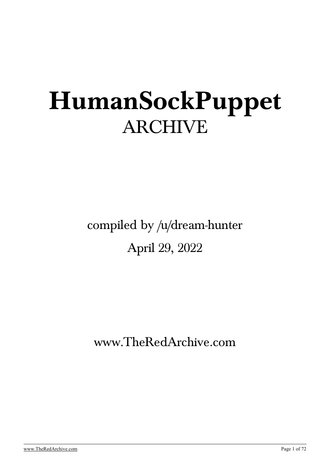# **HumanSockPuppet** ARCHIVE

## compiled by [/u/dream-hunter](https://old.reddit.com/user/dream-hunter) April 29, 2022

[www.TheRedArchive.com](https://theredarchive.com/)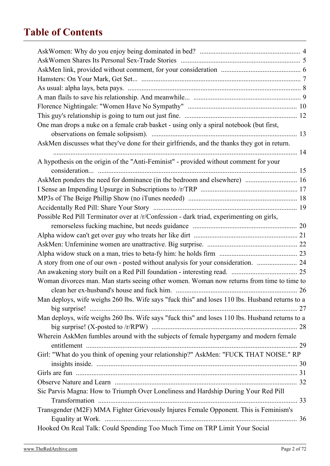#### **Table of Contents**

| One man drops a nuke on a female crab basket - using only a spiral notebook (but first,         |  |
|-------------------------------------------------------------------------------------------------|--|
|                                                                                                 |  |
| AskMen discusses what they've done for their girlfriends, and the thanks they got in return.    |  |
|                                                                                                 |  |
| A hypothesis on the origin of the "Anti-Feminist" - provided without comment for your           |  |
|                                                                                                 |  |
| AskMen ponders the need for dominance (in the bedroom and elsewhere)  16                        |  |
|                                                                                                 |  |
|                                                                                                 |  |
|                                                                                                 |  |
| Possible Red Pill Terminator over at /r/Confession - dark triad, experimenting on girls,        |  |
|                                                                                                 |  |
|                                                                                                 |  |
|                                                                                                 |  |
|                                                                                                 |  |
| A story from one of our own - posted without analysis for your consideration.  24               |  |
|                                                                                                 |  |
| Woman divorces man. Man starts seeing other women. Woman now returns from time to time to       |  |
|                                                                                                 |  |
| Man deploys, wife weighs 260 lbs. Wife says "fuck this" and loses 110 lbs. Husband returns to a |  |
|                                                                                                 |  |
| Man deploys, wife weighs 260 lbs. Wife says "fuck this" and loses 110 lbs. Husband returns to a |  |
|                                                                                                 |  |
| Wherein AskMen fumbles around with the subjects of female hypergamy and modern female           |  |
|                                                                                                 |  |
| Girl: "What do you think of opening your relationship?" AskMen: "FUCK THAT NOISE." RP           |  |
|                                                                                                 |  |
|                                                                                                 |  |
|                                                                                                 |  |
| Sic Parvis Magna: How to Triumph Over Loneliness and Hardship During Your Red Pill              |  |
|                                                                                                 |  |
| Transgender (M2F) MMA Fighter Grievously Injures Female Opponent. This is Feminism's            |  |
|                                                                                                 |  |
| Hooked On Real Talk: Could Spending Too Much Time on TRP Limit Your Social                      |  |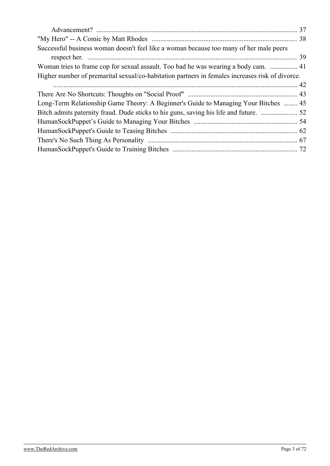| Successful business woman doesn't feel like a woman because too many of her male peers          |  |
|-------------------------------------------------------------------------------------------------|--|
|                                                                                                 |  |
| Woman tries to frame cop for sexual assault. Too bad he was wearing a body cam.  41             |  |
| Higher number of premarital sexual/co-habitation partners in females increases risk of divorce. |  |
|                                                                                                 |  |
|                                                                                                 |  |
| Long-Term Relationship Game Theory: A Beginner's Guide to Managing Your Bitches  45             |  |
|                                                                                                 |  |
|                                                                                                 |  |
|                                                                                                 |  |
|                                                                                                 |  |
|                                                                                                 |  |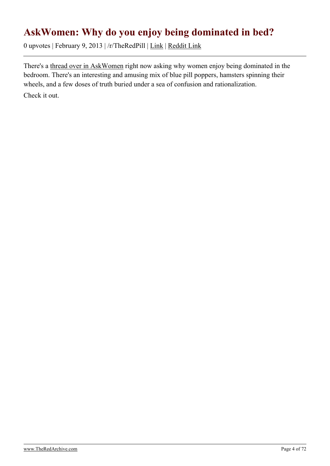#### <span id="page-3-0"></span>**AskWomen: Why do you enjoy being dominated in bed?**

0 upvotes | February 9, 2013 | /r/TheRedPill | [Link](https://theredarchive.com/r/TheRedPill/askwomen-why-do-you-enjoy-being-dominated-in-bed.3499) | [Reddit Link](https://old.reddit.com/r/TheRedPill/comments/18641t/askwomen_why_do_you_enjoy_being_dominated_in_bed/)

There's a [thread over in AskWomen](https://theredarchive.com/redirect?l=/r/AskWomen/comments/184jv6/why_do_so_many_women_love_being_dominated_in_bed/) right now asking why women enjoy being dominated in the bedroom. There's an interesting and amusing mix of blue pill poppers, hamsters spinning their wheels, and a few doses of truth buried under a sea of confusion and rationalization.

Check it out.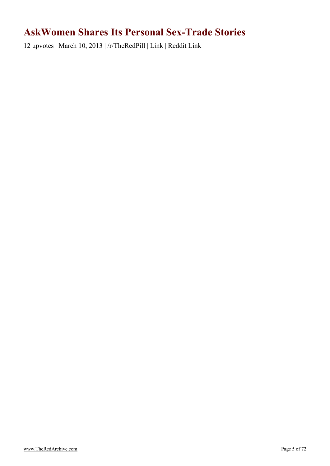#### <span id="page-4-0"></span>**AskWomen Shares Its Personal Sex-Trade Stories**

12 upvotes | March 10, 2013 | /r/TheRedPill | [Link](https://theredarchive.com/r/TheRedPill/askwomen-shares-its-personal-sex-trade-stories.235149) | [Reddit Link](https://old.reddit.com/r/TheRedPill/comments/1a0na3/askwomen_shares_its_personal_sextrade_stories/)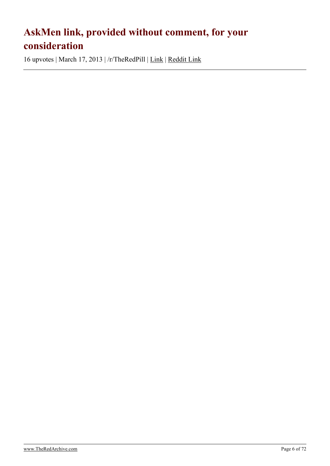### <span id="page-5-0"></span>**AskMen link, provided without comment, for your consideration**

16 upvotes | March 17, 2013 | /r/TheRedPill | [Link](https://theredarchive.com/r/TheRedPill/askmen-link-provided-without-comment-for-your.235104) | [Reddit Link](https://old.reddit.com/r/TheRedPill/comments/1afybi/askmen_link_provided_without_comment_for_your/)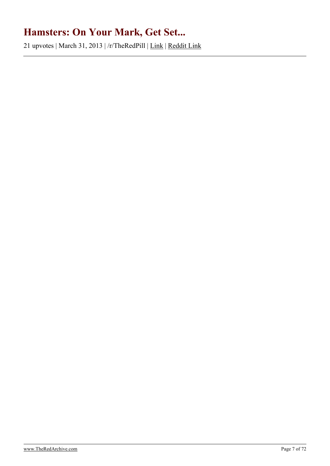#### <span id="page-6-0"></span>**Hamsters: On Your Mark, Get Set...**

21 upvotes | March 31, 2013 | /r/TheRedPill | [Link](https://theredarchive.com/r/TheRedPill/hamsters-on-your-mark-get-set.235017) | [Reddit Link](https://old.reddit.com/r/TheRedPill/comments/1bck71/hamsters_on_your_mark_get_set/)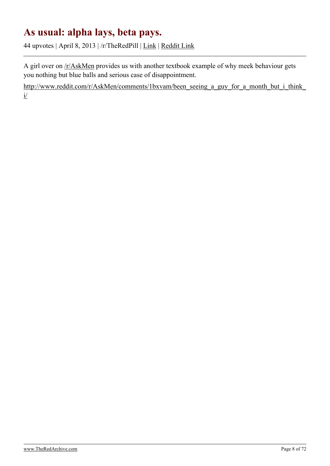#### <span id="page-7-0"></span>**As usual: alpha lays, beta pays.**

44 upvotes | April 8, 2013 | /r/TheRedPill | [Link](https://theredarchive.com/r/TheRedPill/as-usual-alpha-lays-beta-pays.3886) | [Reddit Link](https://old.reddit.com/r/TheRedPill/comments/1bxz9o/as_usual_alpha_lays_beta_pays/)

A girl over on  $\frac{\text{r}}{\text{AskMen}}$  provides us with another textbook example of why meek behaviour gets you nothing but blue balls and serious case of disappointment.

[http://www.reddit.com/r/AskMen/comments/1bxvam/been\\_seeing\\_a\\_guy\\_for\\_a\\_month\\_but\\_i\\_think\\_](https://theredarchive.com/redirect?l=/r/AskMen/comments/1bxvam/been_seeing_a_guy_for_a_month_but_i_think_i/) [i/](https://theredarchive.com/redirect?l=/r/AskMen/comments/1bxvam/been_seeing_a_guy_for_a_month_but_i_think_i/)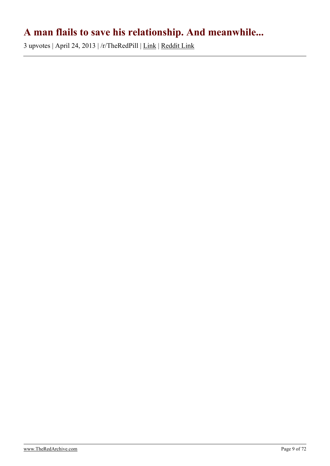#### <span id="page-8-0"></span>**A man flails to save his relationship. And meanwhile...**

3 upvotes | April 24, 2013 | /r/TheRedPill | [Link](https://theredarchive.com/r/TheRedPill/a-man-flails-to-save-his-relationship-and.234796) | [Reddit Link](https://old.reddit.com/r/TheRedPill/comments/1d1082/a_man_flails_to_save_his_relationship_and/)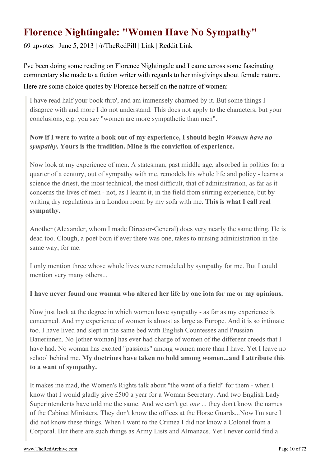#### <span id="page-9-0"></span>**Florence Nightingale: "Women Have No Sympathy"**

69 upvotes | June 5, 2013 | /r/TheRedPill | [Link](https://theredarchive.com/r/TheRedPill/florence-nightingale-women-have-no-sympathy.4705) | [Reddit Link](https://old.reddit.com/r/TheRedPill/comments/1fpmzf/florence_nightingale_women_have_no_sympathy/)

I've been doing some reading on Florence Nightingale and I came across some fascinating commentary she made to a fiction writer with regards to her misgivings about female nature. Here are some choice quotes by Florence herself on the nature of women:

I have read half your book thro', and am immensely charmed by it. But some things I disagree with and more I do not understand. This does not apply to the characters, but your conclusions, e.g. you say "women are more sympathetic than men".

#### **Now if I were to write a book out of my experience, I should begin** *Women have no sympathy***. Yours is the tradition. Mine is the conviction of experience.**

Now look at my experience of men. A statesman, past middle age, absorbed in politics for a quarter of a century, out of sympathy with me, remodels his whole life and policy - learns a science the driest, the most technical, the most difficult, that of administration, as far as it concerns the lives of men - not, as I learnt it, in the field from stirring experience, but by writing dry regulations in a London room by my sofa with me. **This is what I call real sympathy.**

Another (Alexander, whom I made Director-General) does very nearly the same thing. He is dead too. Clough, a poet born if ever there was one, takes to nursing administration in the same way, for me.

I only mention three whose whole lives were remodeled by sympathy for me. But I could mention very many others...

#### **I have never found one woman who altered her life by one iota for me or my opinions.**

Now just look at the degree in which women have sympathy - as far as my experience is concerned. And my experience of women is almost as large as Europe. And it is so intimate too. I have lived and slept in the same bed with English Countesses and Prussian Bauerinnen. No [other woman] has ever had charge of women of the different creeds that I have had. No woman has excited "passions" among women more than I have. Yet I leave no school behind me. **My doctrines have taken no hold among women...and I attribute this to a want of sympathy.**

It makes me mad, the Women's Rights talk about "the want of a field" for them - when I know that I would gladly give £500 a year for a Woman Secretary. And two English Lady Superintendents have told me the same. And we can't get *one* ... they don't know the names of the Cabinet Ministers. They don't know the offices at the Horse Guards...Now I'm sure I did not know these things. When I went to the Crimea I did not know a Colonel from a Corporal. But there are such things as Army Lists and Almanacs. Yet I never could find a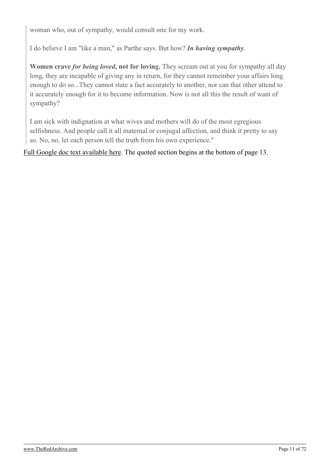woman who, out of sympathy, would consult one for my work.

I do believe I am "like a man," as Parthe says. But how? *In having sympathy*.

**Women crave** *for being loved***, not for loving.** They scream out at you for sympathy all day long, they are incapable of giving any in return, for they cannot remember your affairs long enough to do so...They cannot state a fact accurately to another, nor can that other attend to it accurately enough for it to become information. Now is not all this the result of want of sympathy?

I am sick with indignation at what wives and mothers will do of the most egregious selfishness. And people call it all maternal or conjugal affection, and think it pretty to say so. No, no, let each person tell the truth from his own experience."

[Full Google doc text available here.](http://books.google.com/books?id=totpAAAAMAAJ&pg=PA15&lpg=PA15&dq=They+scream+out+at+you+for+sympathy+all+day+long&hl=en#v=onepage&q=iota&f=false) The quoted section begins at the bottom of page 13.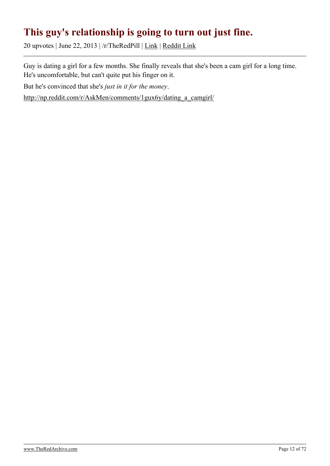#### <span id="page-11-0"></span>**This guy's relationship is going to turn out just fine.**

20 upvotes | June 22, 2013 | /r/TheRedPill | [Link](https://theredarchive.com/r/TheRedPill/this-guys-relationship-is-going-to-turn-out-just.5036) | [Reddit Link](https://old.reddit.com/r/TheRedPill/comments/1gv1f8/this_guys_relationship_is_going_to_turn_out_just/)

Guy is dating a girl for a few months. She finally reveals that she's been a cam girl for a long time. He's uncomfortable, but can't quite put his finger on it. But he's convinced that she's *just in it for the money*. [http://np.reddit.com/r/AskMen/comments/1gux6y/dating\\_a\\_camgirl/](http://np.reddit.com/r/AskMen/comments/1gux6y/dating_a_camgirl/)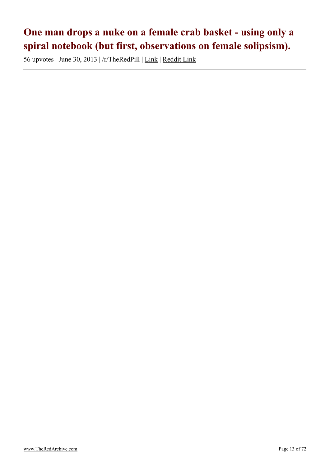#### <span id="page-12-0"></span>**One man drops a nuke on a female crab basket - using only a spiral notebook (but first, observations on female solipsism).**

56 upvotes | June 30, 2013 | /r/TheRedPill | [Link](https://theredarchive.com/r/TheRedPill/one-man-drops-a-nuke-on-a-female-crab-basket-using.234074) | [Reddit Link](https://old.reddit.com/r/TheRedPill/comments/1hddmj/one_man_drops_a_nuke_on_a_female_crab_basket/)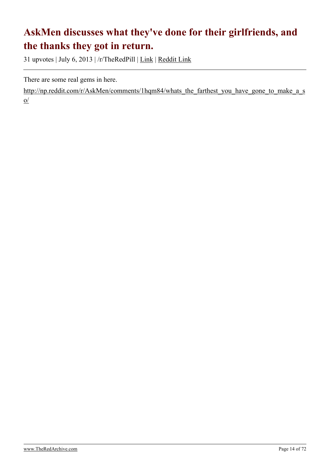#### <span id="page-13-0"></span>**AskMen discusses what they've done for their girlfriends, and the thanks they got in return.**

31 upvotes | July 6, 2013 | /r/TheRedPill | [Link](https://theredarchive.com/r/TheRedPill/askmen-discusses-what-theyve-done-for-their.5324) | [Reddit Link](https://old.reddit.com/r/TheRedPill/comments/1hr5dv/askmen_discusses_what_theyve_done_for_their/)

There are some real gems in here.

[http://np.reddit.com/r/AskMen/comments/1hqm84/whats\\_the\\_farthest\\_you\\_have\\_gone\\_to\\_make\\_a\\_s](http://np.reddit.com/r/AskMen/comments/1hqm84/whats_the_farthest_you_have_gone_to_make_a_so/)  $O$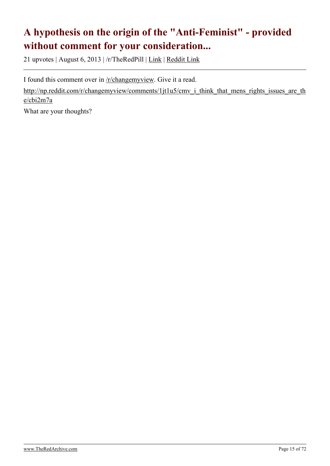### <span id="page-14-0"></span>**A hypothesis on the origin of the "Anti-Feminist" - provided without comment for your consideration...**

21 upvotes | August 6, 2013 | /r/TheRedPill | [Link](https://theredarchive.com/r/TheRedPill/a-hypothesis-on-the-origin-of-the-anti-feminist.6124) | [Reddit Link](https://old.reddit.com/r/TheRedPill/comments/1judrv/a_hypothesis_on_the_origin_of_the_antifeminist/)

I found this comment over in [/r/changemyview.](https://theredarchive.com/redirect?l=/r/changemyview) Give it a read.

http://np.reddit.com/r/changemyview/comments/1jt1u5/cmv i think that mens rights issues are the [e/cbi2m7a](http://np.reddit.com/r/changemyview/comments/1jt1u5/cmv_i_think_that_mens_rights_issues_are_the/cbi2m7a)

What are your thoughts?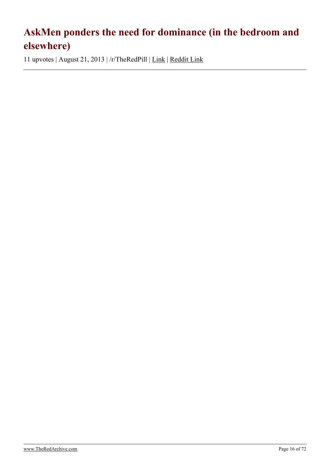#### <span id="page-15-0"></span>**AskMen ponders the need for dominance (in the bedroom and elsewhere)**

11 upvotes | August 21, 2013 | /r/TheRedPill | [Link](https://theredarchive.com/r/TheRedPill/askmen-ponders-the-need-for-dominance-in-the.233345) | [Reddit Link](https://old.reddit.com/r/TheRedPill/comments/1kslro/askmen_ponders_the_need_for_dominance_in_the/)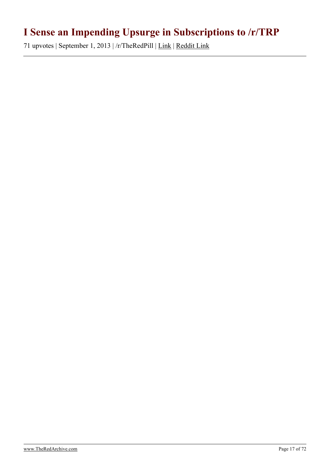#### <span id="page-16-0"></span>**I Sense an Impending Upsurge in Subscriptions to /r/TRP**

71 upvotes | September 1, 2013 | /r/TheRedPill | [Link](https://theredarchive.com/r/TheRedPill/i-sense-an-impending-upsurge-in-subscriptions-to.233202) | [Reddit Link](https://old.reddit.com/r/TheRedPill/comments/1lj0f3/i_sense_an_impending_upsurge_in_subscriptions_to/)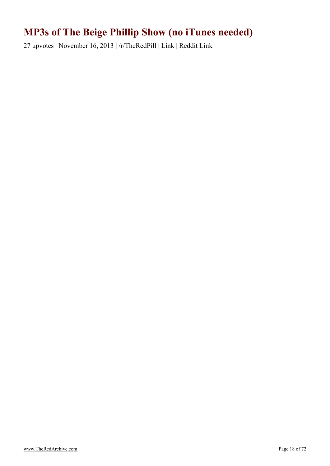#### <span id="page-17-0"></span>**MP3s of The Beige Phillip Show (no iTunes needed)**

27 upvotes | November 16, 2013 | /r/TheRedPill | [Link](https://theredarchive.com/r/TheRedPill/mp3s-of-the-beige-phillip-show-no-itunes-needed.232446) | [Reddit Link](https://old.reddit.com/r/TheRedPill/comments/1qs4ni/mp3s_of_the_beige_phillip_show_no_itunes_needed/)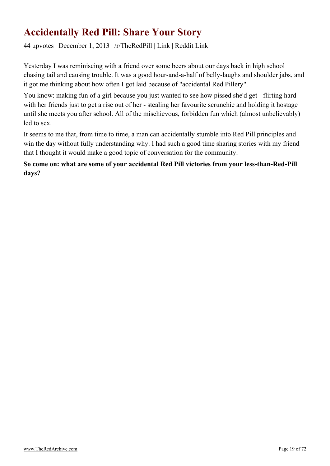#### <span id="page-18-0"></span>**Accidentally Red Pill: Share Your Story**

44 upvotes | December 1, 2013 | /r/TheRedPill | [Link](https://theredarchive.com/r/TheRedPill/accidentally-red-pill-share-your-story.8403) | [Reddit Link](https://old.reddit.com/r/TheRedPill/comments/1rurs5/accidentally_red_pill_share_your_story/)

Yesterday I was reminiscing with a friend over some beers about our days back in high school chasing tail and causing trouble. It was a good hour-and-a-half of belly-laughs and shoulder jabs, and it got me thinking about how often I got laid because of "accidental Red Pillery".

You know: making fun of a girl because you just wanted to see how pissed she'd get - flirting hard with her friends just to get a rise out of her - stealing her favourite scrunchie and holding it hostage until she meets you after school. All of the mischievous, forbidden fun which (almost unbelievably) led to sex.

It seems to me that, from time to time, a man can accidentally stumble into Red Pill principles and win the day without fully understanding why. I had such a good time sharing stories with my friend that I thought it would make a good topic of conversation for the community.

#### **So come on: what are some of your accidental Red Pill victories from your less-than-Red-Pill days?**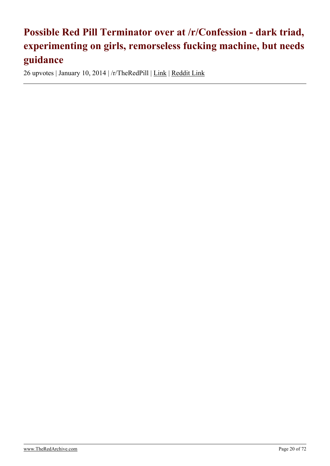### <span id="page-19-0"></span>**Possible Red Pill Terminator over at /r/Confession - dark triad, experimenting on girls, remorseless fucking machine, but needs guidance**

26 upvotes | January 10, 2014 | /r/TheRedPill | [Link](https://theredarchive.com/r/TheRedPill/possible-red-pill-terminator-over-at-rconfession.231768) | [Reddit Link](https://old.reddit.com/r/TheRedPill/comments/1uvh2x/possible_red_pill_terminator_over_at_rconfession/)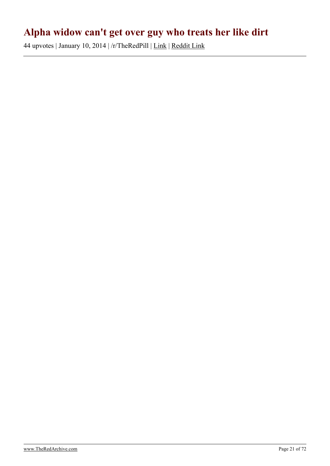#### <span id="page-20-0"></span>**Alpha widow can't get over guy who treats her like dirt**

44 upvotes | January 10, 2014 | /r/TheRedPill | [Link](https://theredarchive.com/r/TheRedPill/alpha-widow-cant-get-over-guy-who-treats-her-like.231769) | [Reddit Link](https://old.reddit.com/r/TheRedPill/comments/1uvhcl/alpha_widow_cant_get_over_guy_who_treats_her_like/)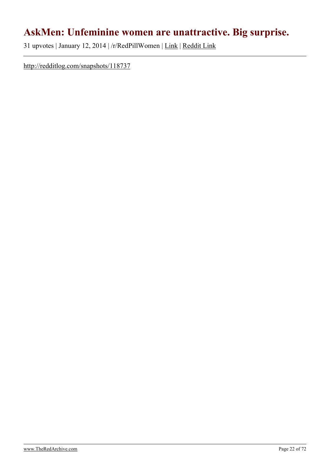#### <span id="page-21-0"></span>**AskMen: Unfeminine women are unattractive. Big surprise.**

31 upvotes | January 12, 2014 | /r/RedPillWomen | [Link](https://theredarchive.com/r/RedPillWomen/askmen-unfeminine-women-are-unattractive-big.2028) | [Reddit Link](https://old.reddit.com/r/RedPillWomen/comments/1v1m5y/askmen_unfeminine_women_are_unattractive_big/)

<http://redditlog.com/snapshots/118737>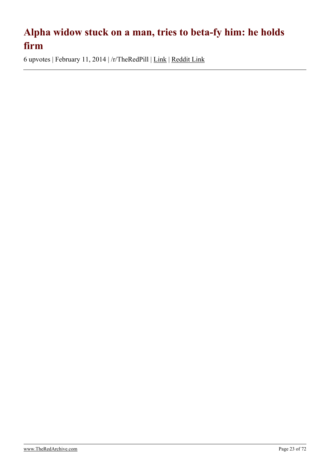### <span id="page-22-0"></span>**Alpha widow stuck on a man, tries to beta-fy him: he holds firm**

6 upvotes | February 11, 2014 | /r/TheRedPill | [Link](https://theredarchive.com/r/TheRedPill/alpha-widow-stuck-on-a-man-tries-to-beta-fy-him-he.231260) | [Reddit Link](https://old.reddit.com/r/TheRedPill/comments/1xn7fj/alpha_widow_stuck_on_a_man_tries_to_betafy_him_he/)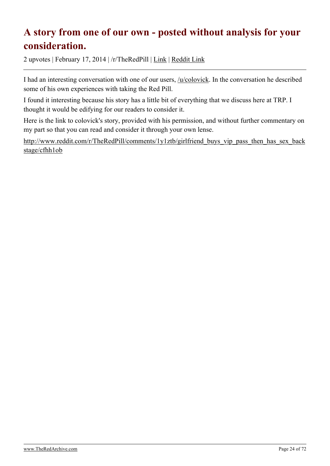#### <span id="page-23-0"></span>**A story from one of our own - posted without analysis for your consideration.**

2 upvotes | February 17, 2014 | /r/TheRedPill | [Link](https://theredarchive.com/r/TheRedPill/a-story-from-one-of-our-own-posted-without.11458) | [Reddit Link](https://old.reddit.com/r/TheRedPill/comments/1y64ia/a_story_from_one_of_our_own_posted_without/)

I had an interesting conversation with one of our users, [/u/colovick.](https://theredarchive.com/u/colovick) In the conversation he described some of his own experiences with taking the Red Pill.

I found it interesting because his story has a little bit of everything that we discuss here at TRP. I thought it would be edifying for our readers to consider it.

Here is the link to colovick's story, provided with his permission, and without further commentary on my part so that you can read and consider it through your own lense.

http://www.reddit.com/r/TheRedPill/comments/1y1ztb/girlfriend buys vip pass then has sex back [stage/cfhh1ob](https://theredarchive.com/redirect?l=/r/TheRedPill/comments/1y1ztb/girlfriend_buys_vip_pass_then_has_sex_backstage/cfhh1ob)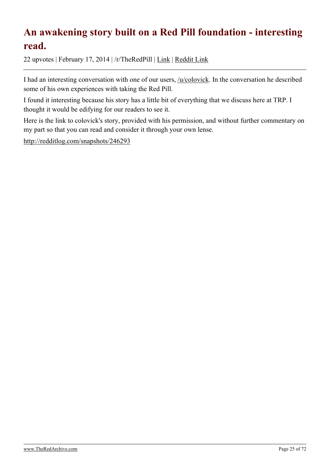#### <span id="page-24-0"></span>**An awakening story built on a Red Pill foundation - interesting read.**

22 upvotes | February 17, 2014 | /r/TheRedPill | [Link](https://theredarchive.com/r/TheRedPill/an-awakening-story-built-on-a-red-pill-foundation.11466) | [Reddit Link](https://old.reddit.com/r/TheRedPill/comments/1y6gql/an_awakening_story_built_on_a_red_pill_foundation/)

I had an interesting conversation with one of our users, [/u/colovick.](https://theredarchive.com/u/colovick) In the conversation he described some of his own experiences with taking the Red Pill.

I found it interesting because his story has a little bit of everything that we discuss here at TRP. I thought it would be edifying for our readers to see it.

Here is the link to colovick's story, provided with his permission, and without further commentary on my part so that you can read and consider it through your own lense.

<http://redditlog.com/snapshots/246293>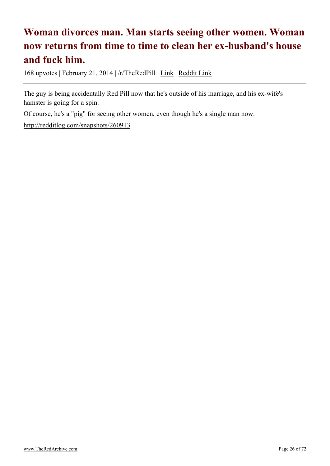### <span id="page-25-0"></span>**Woman divorces man. Man starts seeing other women. Woman now returns from time to time to clean her ex-husband's house and fuck him.**

168 upvotes | February 21, 2014 | /r/TheRedPill | [Link](https://theredarchive.com/r/TheRedPill/woman-divorces-man-man-starts-seeing-other-women.11660) | [Reddit Link](https://old.reddit.com/r/TheRedPill/comments/1ykjim/woman_divorces_man_man_starts_seeing_other_women/)

The guy is being accidentally Red Pill now that he's outside of his marriage, and his ex-wife's hamster is going for a spin.

Of course, he's a "pig" for seeing other women, even though he's a single man now. <http://redditlog.com/snapshots/260913>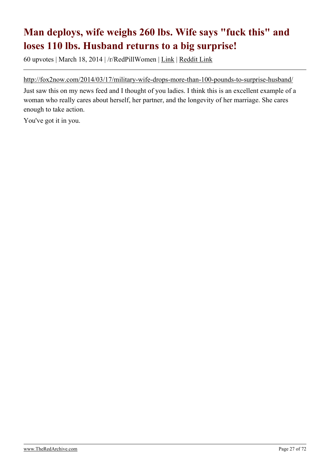#### <span id="page-26-0"></span>**Man deploys, wife weighs 260 lbs. Wife says "fuck this" and loses 110 lbs. Husband returns to a big surprise!**

60 upvotes | March 18, 2014 | /r/RedPillWomen | [Link](https://theredarchive.com/r/RedPillWomen/man-deploys-wife-weighs-260-lbs-wife-says-fuck.2050) | [Reddit Link](https://old.reddit.com/r/RedPillWomen/comments/20od0u/man_deploys_wife_weighs_260_lbs_wife_says_fuck/)

<http://fox2now.com/2014/03/17/military-wife-drops-more-than-100-pounds-to-surprise-husband/>

Just saw this on my news feed and I thought of you ladies. I think this is an excellent example of a woman who really cares about herself, her partner, and the longevity of her marriage. She cares enough to take action.

You've got it in you.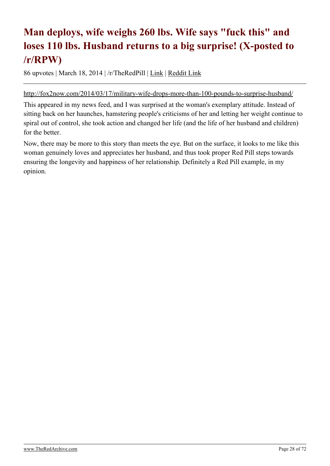### <span id="page-27-0"></span>**Man deploys, wife weighs 260 lbs. Wife says "fuck this" and loses 110 lbs. Husband returns to a big surprise! (X-posted to /r/RPW)**

86 upvotes | March 18, 2014 | /r/TheRedPill | [Link](https://theredarchive.com/r/TheRedPill/man-deploys-wife-weighs-260-lbs-wife-says-fuck.12740) | [Reddit Link](https://old.reddit.com/r/TheRedPill/comments/20p6pq/man_deploys_wife_weighs_260_lbs_wife_says_fuck/)

<http://fox2now.com/2014/03/17/military-wife-drops-more-than-100-pounds-to-surprise-husband/>

This appeared in my news feed, and I was surprised at the woman's exemplary attitude. Instead of sitting back on her haunches, hamstering people's criticisms of her and letting her weight continue to spiral out of control, she took action and changed her life (and the life of her husband and children) for the better.

Now, there may be more to this story than meets the eye. But on the surface, it looks to me like this woman genuinely loves and appreciates her husband, and thus took proper Red Pill steps towards ensuring the longevity and happiness of her relationship. Definitely a Red Pill example, in my opinion.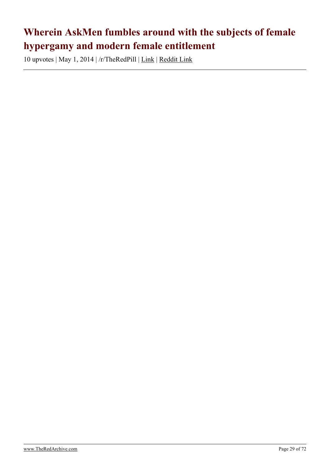#### <span id="page-28-0"></span>**Wherein AskMen fumbles around with the subjects of female hypergamy and modern female entitlement**

10 upvotes | May 1, 2014 | /r/TheRedPill | [Link](https://theredarchive.com/r/TheRedPill/wherein-askmen-fumbles-around-with-the-subjects-of.230120) | [Reddit Link](https://old.reddit.com/r/TheRedPill/comments/24giwe/wherein_askmen_fumbles_around_with_the_subjects/)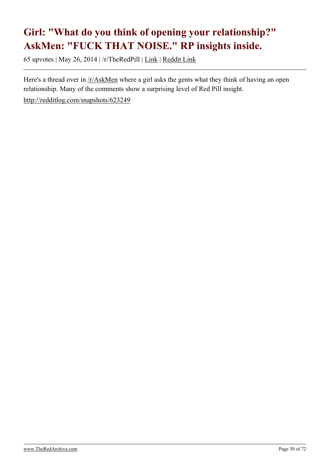### <span id="page-29-0"></span>**Girl: "What do you think of opening your relationship?" AskMen: "FUCK THAT NOISE." RP insights inside.**

65 upvotes | May 26, 2014 | /r/TheRedPill | [Link](https://theredarchive.com/r/TheRedPill/girl-what-do-you-think-of-opening-your.15892) | [Reddit Link](https://old.reddit.com/r/TheRedPill/comments/26hr3u/girl_what_do_you_think_of_opening_your/)

Here's a thread over in  $\frac{r}{A}$ skMen where a girl asks the gents what they think of having an open relationship. Many of the comments show a surprising level of Red Pill insight.

<http://redditlog.com/snapshots/623249>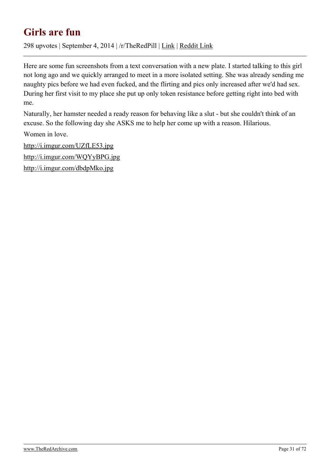#### <span id="page-30-0"></span>**Girls are fun**

298 upvotes | September 4, 2014 | /r/TheRedPill | [Link](https://theredarchive.com/r/TheRedPill/girls-are-fun.20518) | [Reddit Link](https://old.reddit.com/r/TheRedPill/comments/2fh4pi/girls_are_fun/)

Here are some fun screenshots from a text conversation with a new plate. I started talking to this girl not long ago and we quickly arranged to meet in a more isolated setting. She was already sending me naughty pics before we had even fucked, and the flirting and pics only increased after we'd had sex. During her first visit to my place she put up only token resistance before getting right into bed with me.

Naturally, her hamster needed a ready reason for behaving like a slut - but she couldn't think of an excuse. So the following day she ASKS me to help her come up with a reason. Hilarious.

Women in love.

<http://i.imgur.com/UZfLE53.jpg> <http://i.imgur.com/WQYyBPG.jpg> <http://i.imgur.com/dbdpMko.jpg>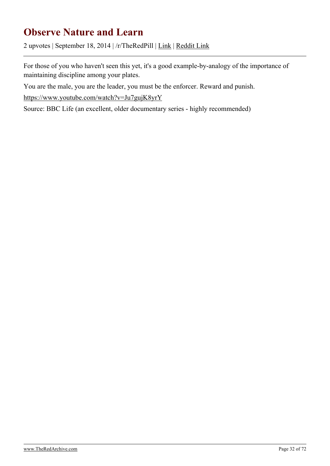#### <span id="page-31-0"></span>**Observe Nature and Learn**

2 upvotes | September 18, 2014 | /r/TheRedPill | [Link](https://theredarchive.com/r/TheRedPill/observe-nature-and-learn.21362) | [Reddit Link](https://old.reddit.com/r/TheRedPill/comments/2gt2j5/observe_nature_and_learn/)

For those of you who haven't seen this yet, it's a good example-by-analogy of the importance of maintaining discipline among your plates.

You are the male, you are the leader, you must be the enforcer. Reward and punish.

<https://www.youtube.com/watch?v=Ju7gujK8yrY>

Source: BBC Life (an excellent, older documentary series - highly recommended)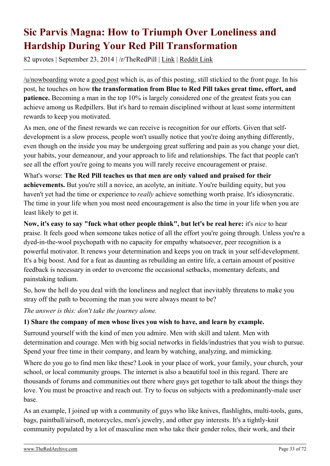### <span id="page-32-0"></span>**Sic Parvis Magna: How to Triumph Over Loneliness and Hardship During Your Red Pill Transformation**

82 upvotes | September 23, 2014 | /r/TheRedPill | [Link](https://theredarchive.com/r/TheRedPill/sic-parvis-magna-how-to-triumph-over-loneliness.21612) | [Reddit Link](https://old.reddit.com/r/TheRedPill/comments/2h6vni/sic_parvis_magna_how_to_triumph_over_loneliness/)

[/u/nowboarding](https://theredarchive.com/u/nowboarding) wrote a [good post](http://redditlog.com/snapshots/1016789) which is, as of this posting, still stickied to the front page. In his post, he touches on how **the transformation from Blue to Red Pill takes great time, effort, and patience.** Becoming a man in the top 10% is largely considered one of the greatest feats you can achieve among us Redpillers. But it's hard to remain disciplined without at least some intermittent rewards to keep you motivated.

As men, one of the finest rewards we can receive is recognition for our efforts. Given that selfdevelopment is a slow process, people won't usually notice that you're doing anything differently, even though on the inside you may be undergoing great suffering and pain as you change your diet, your habits, your demeanour, and your approach to life and relationships. The fact that people can't see all the effort you're going to means you will rarely receive encouragement or praise.

What's worse: **The Red Pill teaches us that men are only valued and praised for their achievements.** But you're still a novice, an acolyte, an initiate. You're building equity, but you haven't yet had the time or experience to *really* achieve something worth praise. It's idiosyncratic. The time in your life when you most need encouragement is also the time in your life when you are least likely to get it.

**Now, it's easy to say "fuck what other people think", but let's be real here:** it's *nice* to hear praise. It feels good when someone takes notice of all the effort you're going through. Unless you're a dyed-in-the-wool psychopath with no capacity for empathy whatsoever, peer recognition is a powerful motivator. It renews your determination and keeps you on track in your self-development. It's a big boost. And for a feat as daunting as rebuilding an entire life, a certain amount of positive feedback is necessary in order to overcome the occasional setbacks, momentary defeats, and painstaking tedium.

So, how the hell do you deal with the loneliness and neglect that inevitably threatens to make you stray off the path to becoming the man you were always meant to be?

*The answer is this: don't take the journey alone.*

#### **1) Share the company of men whose lives you wish to have, and learn by example.**

Surround yourself with the kind of men you admire. Men with skill and talent. Men with determination and courage. Men with big social networks in fields/industries that you wish to pursue. Spend your free time in their company, and learn by watching, analyzing, and mimicking.

Where do you go to find men like these? Look in your place of work, your family, your church, your school, or local community groups. The internet is also a beautiful tool in this regard. There are thousands of forums and communities out there where guys get together to talk about the things they love. You must be proactive and reach out. Try to focus on subjects with a predominantly-male user base.

As an example, I joined up with a community of guys who like knives, flashlights, multi-tools, guns, bags, paintball/airsoft, motorcycles, men's jewelry, and other guy interests. It's a tightly-knit community populated by a lot of masculine men who take their gender roles, their work, and their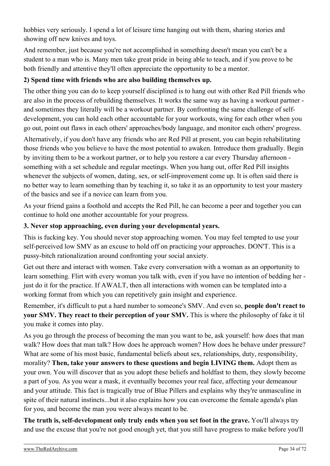hobbies very seriously. I spend a lot of leisure time hanging out with them, sharing stories and showing off new knives and toys.

And remember, just because you're not accomplished in something doesn't mean you can't be a student to a man who is. Many men take great pride in being able to teach, and if you prove to be both friendly and attentive they'll often appreciate the opportunity to be a mentor.

#### **2) Spend time with friends who are also building themselves up.**

The other thing you can do to keep yourself disciplined is to hang out with other Red Pill friends who are also in the process of rebuilding themselves. It works the same way as having a workout partner and sometimes they literally will be a workout partner. By confronting the same challenge of selfdevelopment, you can hold each other accountable for your workouts, wing for each other when you go out, point out flaws in each others' approaches/body language, and monitor each others' progress.

Alternatively, if you don't have any friends who are Red Pill at present, you can begin rehabilitating those friends who you believe to have the most potential to awaken. Introduce them gradually. Begin by inviting them to be a workout partner, or to help you restore a car every Thursday afternoon something with a set schedule and regular meetings. When you hang out, offer Red Pill insights whenever the subjects of women, dating, sex, or self-improvement come up. It is often said there is no better way to learn something than by teaching it, so take it as an opportunity to test your mastery of the basics and see if a novice can learn from you.

As your friend gains a foothold and accepts the Red Pill, he can become a peer and together you can continue to hold one another accountable for your progress.

#### **3. Never stop approaching, even during your developmental years.**

This is fucking key. You should never stop approaching women. You may feel tempted to use your self-perceived low SMV as an excuse to hold off on practicing your approaches. DON'T. This is a pussy-bitch rationalization around confronting your social anxiety.

Get out there and interact with women. Take every conversation with a woman as an opportunity to learn something. Flirt with every woman you talk with, even if you have no intention of bedding her just do it for the practice. If AWALT, then all interactions with women can be templated into a working format from which you can repetitively gain insight and experience.

Remember, it's difficult to put a hard number to someone's SMV. And even so, **people don't react to your SMV. They react to their perception of your SMV.** This is where the philosophy of fake it til you make it comes into play.

As you go through the process of becoming the man you want to be, ask yourself: how does that man walk? How does that man talk? How does he approach women? How does he behave under pressure? What are some of his most basic, fundamental beliefs about sex, relationships, duty, responsibility, morality? **Then, take your answers to these questions and begin LIVING them.** Adopt them as your own. You will discover that as you adopt these beliefs and holdfast to them, they slowly become a part of you. As you wear a mask, it eventually becomes your real face, affecting your demeanour and your attitude. This fact is tragically true of Blue Pillers and explains why they're unmasculine in spite of their natural instincts...but it also explains how you can overcome the female agenda's plan for you, and become the man you were always meant to be.

**The truth is, self-development only truly ends when you set foot in the grave.** You'll always try and use the excuse that you're not good enough yet, that you still have progress to make before you'll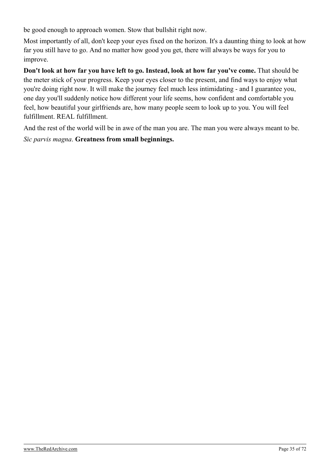be good enough to approach women. Stow that bullshit right now.

Most importantly of all, don't keep your eyes fixed on the horizon. It's a daunting thing to look at how far you still have to go. And no matter how good you get, there will always be ways for you to improve.

**Don't look at how far you have left to go. Instead, look at how far you've come.** That should be the meter stick of your progress. Keep your eyes closer to the present, and find ways to enjoy what you're doing right now. It will make the journey feel much less intimidating - and I guarantee you, one day you'll suddenly notice how different your life seems, how confident and comfortable you feel, how beautiful your girlfriends are, how many people seem to look up to you. You will feel fulfillment. REAL fulfillment.

And the rest of the world will be in awe of the man you are. The man you were always meant to be. *Sic parvis magna*. **Greatness from small beginnings.**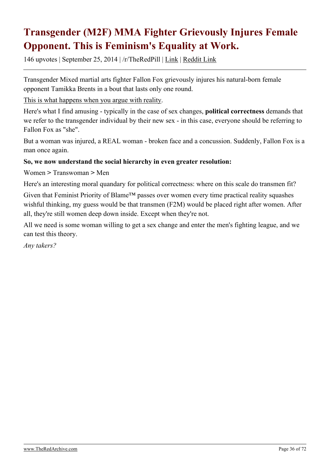### <span id="page-35-0"></span>**Transgender (M2F) MMA Fighter Grievously Injures Female Opponent. This is Feminism's Equality at Work.**

146 upvotes | September 25, 2014 | /r/TheRedPill | [Link](https://theredarchive.com/r/TheRedPill/transgender-m2f-mma-fighter-grievously-injures.21771) | [Reddit Link](https://old.reddit.com/r/TheRedPill/comments/2hgaq3/transgender_m2f_mma_fighter_grievously_injures/)

Transgender Mixed martial arts fighter Fallon Fox grievously injures his natural-born female opponent Tamikka Brents in a bout that lasts only one round.

[This is what happens when you argue with reality](http://www.libertynews.com/2014/09/man-decides-to-become-woman-trans-joins-mma-fights-female-opponent-gives-her-concussion-and-broken-eye-socket/#sthash.URdQ4DlX.gbpl).

Here's what I find amusing - typically in the case of sex changes, **political correctness** demands that we refer to the transgender individual by their new sex - in this case, everyone should be referring to Fallon Fox as "she".

But a woman was injured, a REAL woman - broken face and a concussion. Suddenly, Fallon Fox is a man once again.

#### **So, we now understand the social hierarchy in even greater resolution:**

Women **>** Transwoman **>** Men

Here's an interesting moral quandary for political correctness: where on this scale do transmen fit?

Given that Feminist Priority of Blame™ passes over women every time practical reality squashes wishful thinking, my guess would be that transmen (F2M) would be placed right after women. After all, they're still women deep down inside. Except when they're not.

All we need is some woman willing to get a sex change and enter the men's fighting league, and we can test this theory.

*Any takers?*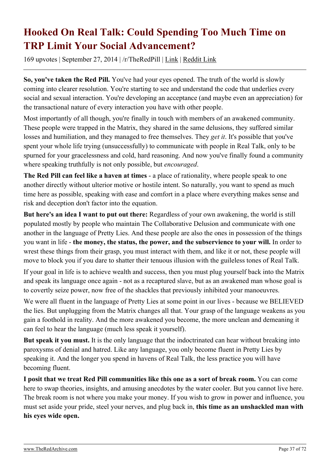# **Hooked On Real Talk: Could Spending Too Much Time on TRP Limit Your Social Advancement?**

169 upvotes | September 27, 2014 | /r/TheRedPill | [Link](https://theredarchive.com/r/TheRedPill/hooked-on-real-talk-could-spending-too-much-time.21901) | [Reddit Link](https://old.reddit.com/r/TheRedPill/comments/2hmtto/hooked_on_real_talk_could_spending_too_much_time/)

**So, you've taken the Red Pill.** You've had your eyes opened. The truth of the world is slowly coming into clearer resolution. You're starting to see and understand the code that underlies every social and sexual interaction. You're developing an acceptance (and maybe even an appreciation) for the transactional nature of every interaction you have with other people.

Most importantly of all though, you're finally in touch with members of an awakened community. These people were trapped in the Matrix, they shared in the same delusions, they suffered similar losses and humiliation, and they managed to free themselves. They *get it*. It's possible that you've spent your whole life trying (unsuccessfully) to communicate with people in Real Talk, only to be spurned for your gracelessness and cold, hard reasoning. And now you've finally found a community where speaking truthfully is not only possible, but *encouraged*.

**The Red Pill can feel like a haven at times** - a place of rationality, where people speak to one another directly without ulterior motive or hostile intent. So naturally, you want to spend as much time here as possible, speaking with ease and comfort in a place where everything makes sense and risk and deception don't factor into the equation.

**But here's an idea I want to put out there:** Regardless of your own awakening, the world is still populated mostly by people who maintain The Collaborative Delusion and communicate with one another in the language of Pretty Lies. And these people are also the ones in possession of the things you want in life - **the money, the status, the power, and the subservience to your will.** In order to wrest these things from their grasp, you must interact with them, and like it or not, these people will move to block you if you dare to shatter their tenuous illusion with the guileless tones of Real Talk.

If your goal in life is to achieve wealth and success, then you must plug yourself back into the Matrix and speak its language once again - not as a recaptured slave, but as an awakened man whose goal is to covertly seize power, now free of the shackles that previously inhibited your manoeuvres.

We were all fluent in the language of Pretty Lies at some point in our lives - because we BELIEVED the lies. But unplugging from the Matrix changes all that. Your grasp of the language weakens as you gain a foothold in reality. And the more awakened you become, the more unclean and demeaning it can feel to hear the language (much less speak it yourself).

**But speak it you must.** It is the only language that the indoctrinated can hear without breaking into paroxysms of denial and hatred. Like any language, you only become fluent in Pretty Lies by speaking it. And the longer you spend in havens of Real Talk, the less practice you will have becoming fluent.

**I posit that we treat Red Pill communities like this one as a sort of break room.** You can come here to swap theories, insights, and amusing anecdotes by the water cooler. But you cannot live here. The break room is not where you make your money. If you wish to grow in power and influence, you must set aside your pride, steel your nerves, and plug back in, **this time as an unshackled man with his eyes wide open.**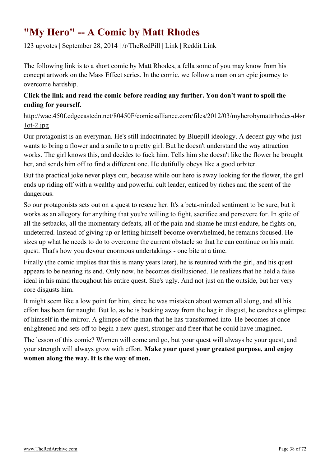# **"My Hero" -- A Comic by Matt Rhodes**

123 upvotes | September 28, 2014 | /r/TheRedPill | [Link](https://theredarchive.com/r/TheRedPill/my-hero-a-comic-by-matt-rhodes.21936) | [Reddit Link](https://old.reddit.com/r/TheRedPill/comments/2horku/my_hero_a_comic_by_matt_rhodes/)

The following link is to a short comic by Matt Rhodes, a fella some of you may know from his concept artwork on the Mass Effect series. In the comic, we follow a man on an epic journey to overcome hardship.

### **Click the link and read the comic before reading any further. You don't want to spoil the ending for yourself.**

[http://wac.450f.edgecastcdn.net/80450F/comicsalliance.com/files/2012/03/myherobymattrhodes-d4sr](http://wac.450f.edgecastcdn.net/80450F/comicsalliance.com/files/2012/03/myherobymattrhodes-d4sr1ot-2.jpg) [1ot-2.jpg](http://wac.450f.edgecastcdn.net/80450F/comicsalliance.com/files/2012/03/myherobymattrhodes-d4sr1ot-2.jpg)

Our protagonist is an everyman. He's still indoctrinated by Bluepill ideology. A decent guy who just wants to bring a flower and a smile to a pretty girl. But he doesn't understand the way attraction works. The girl knows this, and decides to fuck him. Tells him she doesn't like the flower he brought her, and sends him off to find a different one. He dutifully obeys like a good orbiter.

But the practical joke never plays out, because while our hero is away looking for the flower, the girl ends up riding off with a wealthy and powerful cult leader, enticed by riches and the scent of the dangerous.

So our protagonists sets out on a quest to rescue her. It's a beta-minded sentiment to be sure, but it works as an allegory for anything that you're willing to fight, sacrifice and persevere for. In spite of all the setbacks, all the momentary defeats, all of the pain and shame he must endure, he fights on, undeterred. Instead of giving up or letting himself become overwhelmed, he remains focused. He sizes up what he needs to do to overcome the current obstacle so that he can continue on his main quest. That's how you devour enormous undertakings - one bite at a time.

Finally (the comic implies that this is many years later), he is reunited with the girl, and his quest appears to be nearing its end. Only now, he becomes disillusioned. He realizes that he held a false ideal in his mind throughout his entire quest. She's ugly. And not just on the outside, but her very core disgusts him.

It might seem like a low point for him, since he was mistaken about women all along, and all his effort has been for naught. But lo, as he is backing away from the hag in disgust, he catches a glimpse of himself in the mirror. A glimpse of the man that he has transformed into. He becomes at once enlightened and sets off to begin a new quest, stronger and freer that he could have imagined.

The lesson of this comic? Women will come and go, but your quest will always be your quest, and your strength will always grow with effort. **Make your quest your greatest purpose, and enjoy women along the way. It is the way of men.**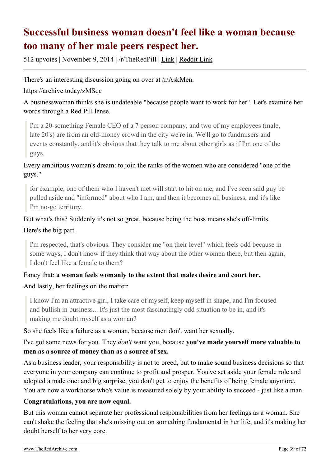# **Successful business woman doesn't feel like a woman because too many of her male peers respect her.**

512 upvotes | November 9, 2014 | /r/TheRedPill | [Link](https://theredarchive.com/r/TheRedPill/successful-business-woman-doesnt-feel-like-a-woman.24577) | [Reddit Link](https://old.reddit.com/r/TheRedPill/comments/2ls5vq/successful_business_woman_doesnt_feel_like_a/)

There's an interesting discussion going on over at [/r/AskMen.](https://theredarchive.com/redirect?l=/r/AskMen)

#### <https://archive.today/zMSqc>

A businesswoman thinks she is undateable "because people want to work for her". Let's examine her words through a Red Pill lense.

I'm a 20-something Female CEO of a 7 person company, and two of my employees (male, late 20's) are from an old-money crowd in the city we're in. We'll go to fundraisers and events constantly, and it's obvious that they talk to me about other girls as if I'm one of the guys.

#### Every ambitious woman's dream: to join the ranks of the women who are considered "one of the guys."

for example, one of them who I haven't met will start to hit on me, and I've seen said guy be pulled aside and "informed" about who I am, and then it becomes all business, and it's like I'm no-go territory.

#### But what's this? Suddenly it's not so great, because being the boss means she's off-limits.

#### Here's the big part.

I'm respected, that's obvious. They consider me "on their level" which feels odd because in some ways, I don't know if they think that way about the other women there, but then again, I don't feel like a female to them?

### Fancy that: **a woman feels womanly to the extent that males desire and court her.**

#### And lastly, her feelings on the matter:

I know I'm an attractive girl, I take care of myself, keep myself in shape, and I'm focused and bullish in business... It's just the most fascinatingly odd situation to be in, and it's making me doubt myself as a woman?

So she feels like a failure as a woman, because men don't want her sexually.

I've got some news for you. They *don't* want you, because **you've made yourself more valuable to men as a source of money than as a source of sex.**

As a business leader, your responsibility is not to breed, but to make sound business decisions so that everyone in your company can continue to profit and prosper. You've set aside your female role and adopted a male one: and big surprise, you don't get to enjoy the benefits of being female anymore. You are now a workhorse who's value is measured solely by your ability to succeed - just like a man.

#### **Congratulations, you are now equal.**

But this woman cannot separate her professional responsibilities from her feelings as a woman. She can't shake the feeling that she's missing out on something fundamental in her life, and it's making her doubt herself to her very core.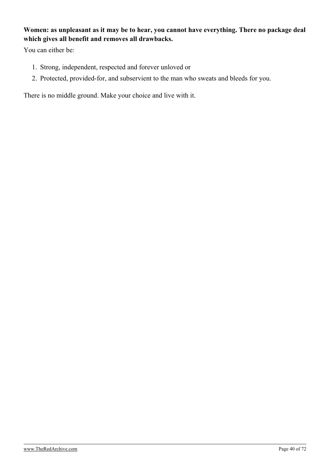### **Women: as unpleasant as it may be to hear, you cannot have everything. There no package deal which gives all benefit and removes all drawbacks.**

You can either be:

- 1. Strong, independent, respected and forever unloved or
- 2. Protected, provided-for, and subservient to the man who sweats and bleeds for you.

There is no middle ground. Make your choice and live with it.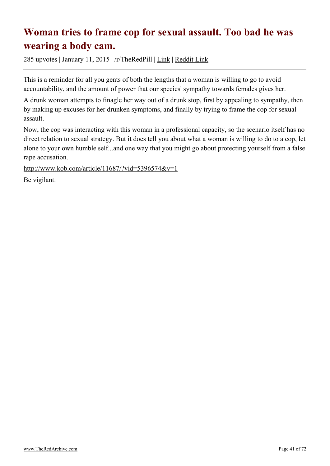# **Woman tries to frame cop for sexual assault. Too bad he was wearing a body cam.**

285 upvotes | January 11, 2015 | /r/TheRedPill | [Link](https://theredarchive.com/r/TheRedPill/woman-tries-to-frame-cop-for-sexual-assault-too.27855) | [Reddit Link](https://old.reddit.com/r/TheRedPill/comments/2s2te9/woman_tries_to_frame_cop_for_sexual_assault_too/)

This is a reminder for all you gents of both the lengths that a woman is willing to go to avoid accountability, and the amount of power that our species' sympathy towards females gives her.

A drunk woman attempts to finagle her way out of a drunk stop, first by appealing to sympathy, then by making up excuses for her drunken symptoms, and finally by trying to frame the cop for sexual assault.

Now, the cop was interacting with this woman in a professional capacity, so the scenario itself has no direct relation to sexual strategy. But it does tell you about what a woman is willing to do to a cop, let alone to your own humble self...and one way that you might go about protecting yourself from a false rape accusation.

<http://www.kob.com/article/11687/?vid=5396574&v=1>

Be vigilant.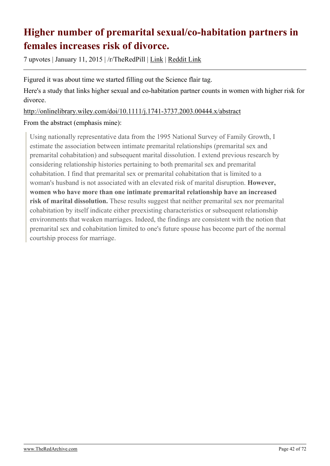# **Higher number of premarital sexual/co-habitation partners in females increases risk of divorce.**

7 upvotes | January 11, 2015 | /r/TheRedPill | [Link](https://theredarchive.com/r/TheRedPill/higher-number-of-premarital-sexualco-habitation.27858) | [Reddit Link](https://old.reddit.com/r/TheRedPill/comments/2s374g/higher_number_of_premarital_sexualcohabitation/)

Figured it was about time we started filling out the Science flair tag.

Here's a study that links higher sexual and co-habitation partner counts in women with higher risk for divorce.

<http://onlinelibrary.wiley.com/doi/10.1111/j.1741-3737.2003.00444.x/abstract>

From the abstract (emphasis mine):

Using nationally representative data from the 1995 National Survey of Family Growth, I estimate the association between intimate premarital relationships (premarital sex and premarital cohabitation) and subsequent marital dissolution. I extend previous research by considering relationship histories pertaining to both premarital sex and premarital cohabitation. I find that premarital sex or premarital cohabitation that is limited to a woman's husband is not associated with an elevated risk of marital disruption. **However, women who have more than one intimate premarital relationship have an increased risk of marital dissolution.** These results suggest that neither premarital sex nor premarital cohabitation by itself indicate either preexisting characteristics or subsequent relationship environments that weaken marriages. Indeed, the findings are consistent with the notion that premarital sex and cohabitation limited to one's future spouse has become part of the normal courtship process for marriage.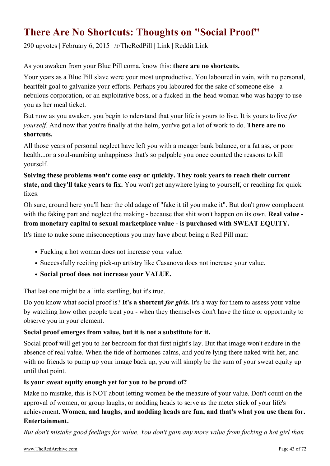## **There Are No Shortcuts: Thoughts on "Social Proof"**

290 upvotes | February 6, 2015 | /r/TheRedPill | [Link](https://theredarchive.com/r/TheRedPill/there-are-no-shortcuts-thoughts-on-social-proof.28841) | [Reddit Link](https://old.reddit.com/r/TheRedPill/comments/2uyx4q/there_are_no_shortcuts_thoughts_on_social_proof/)

As you awaken from your Blue Pill coma, know this: **there are no shortcuts.**

Your years as a Blue Pill slave were your most unproductive. You laboured in vain, with no personal, heartfelt goal to galvanize your efforts. Perhaps you laboured for the sake of someone else - a nebulous corporation, or an exploitative boss, or a fucked-in-the-head woman who was happy to use you as her meal ticket.

But now as you awaken, you begin to nderstand that your life is yours to live. It is yours to live *for yourself*. And now that you're finally at the helm, you've got a lot of work to do. **There are no shortcuts.**

All those years of personal neglect have left you with a meager bank balance, or a fat ass, or poor health...or a soul-numbing unhappiness that's so palpable you once counted the reasons to kill yourself.

### **Solving these problems won't come easy or quickly. They took years to reach their current state, and they'll take years to fix.** You won't get anywhere lying to yourself, or reaching for quick fixes.

Oh sure, around here you'll hear the old adage of "fake it til you make it". But don't grow complacent with the faking part and neglect the making - because that shit won't happen on its own. **Real value from monetary capital to sexual marketplace value - is purchased with SWEAT EQUITY.**

It's time to nuke some misconceptions you may have about being a Red Pill man:

- Fucking a hot woman does not increase your value.
- Successfully reciting pick-up artistry like Casanova does not increase your value.
- **Social proof does not increase your VALUE.**

That last one might be a little startling, but it's true.

Do you know what social proof is? **It's a shortcut** *for girls***.** It's a way for them to assess your value by watching how other people treat you - when they themselves don't have the time or opportunity to observe you in your element.

#### **Social proof emerges from value, but it is not a substitute for it.**

Social proof will get you to her bedroom for that first night's lay. But that image won't endure in the absence of real value. When the tide of hormones calms, and you're lying there naked with her, and with no friends to pump up your image back up, you will simply be the sum of your sweat equity up until that point.

#### **Is your sweat equity enough yet for you to be proud of?**

Make no mistake, this is NOT about letting women be the measure of your value. Don't count on the approval of women, or group laughs, or nodding heads to serve as the meter stick of your life's achievement. **Women, and laughs, and nodding heads are fun, and that's what you use them for. Entertainment.**

*But don't mistake good feelings for value. You don't gain any more value from fucking a hot girl than*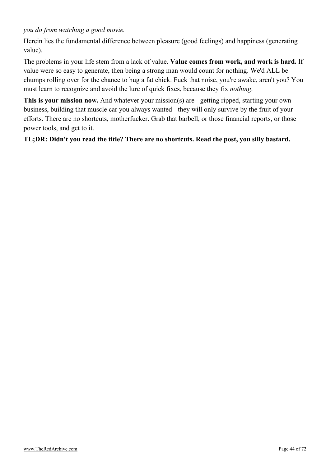### *you do from watching a good movie.*

Herein lies the fundamental difference between pleasure (good feelings) and happiness (generating value).

The problems in your life stem from a lack of value. **Value comes from work, and work is hard.** If value were so easy to generate, then being a strong man would count for nothing. We'd ALL be chumps rolling over for the chance to hug a fat chick. Fuck that noise, you're awake, aren't you? You must learn to recognize and avoid the lure of quick fixes, because they fix *nothing*.

**This is your mission now.** And whatever your mission(s) are - getting ripped, starting your own business, building that muscle car you always wanted - they will only survive by the fruit of your efforts. There are no shortcuts, motherfucker. Grab that barbell, or those financial reports, or those power tools, and get to it.

**TL;DR: Didn't you read the title? There are no shortcuts. Read the post, you silly bastard.**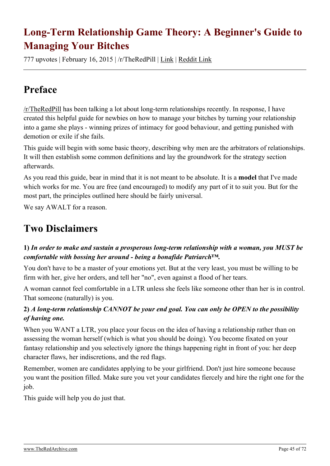# **Long-Term Relationship Game Theory: A Beginner's Guide to Managing Your Bitches**

777 upvotes | February 16, 2015 | /r/TheRedPill | [Link](https://theredarchive.com/r/TheRedPill/long-term-relationship-game-theory-a-beginners.29200) | [Reddit Link](https://old.reddit.com/r/TheRedPill/comments/2w2ine/longterm_relationship_game_theory_a_beginners/)

# **Preface**

[/r/TheRedPill](https://theredarchive.com/redirect?l=/r/TheRedPill) has been talking a lot about long-term relationships recently. In response, I have created this helpful guide for newbies on how to manage your bitches by turning your relationship into a game she plays - winning prizes of intimacy for good behaviour, and getting punished with demotion or exile if she fails.

This guide will begin with some basic theory, describing why men are the arbitrators of relationships. It will then establish some common definitions and lay the groundwork for the strategy section afterwards.

As you read this guide, bear in mind that it is not meant to be absolute. It is a **model** that I've made which works for me. You are free (and encouraged) to modify any part of it to suit you. But for the most part, the principles outlined here should be fairly universal.

We say AWALT for a reason.

### **Two Disclaimers**

### **1)** *In order to make and sustain a prosperous long-term relationship with a woman, you MUST be comfortable with bossing her around - being a bonafide Patriarch™.*

You don't have to be a master of your emotions yet. But at the very least, you must be willing to be firm with her, give her orders, and tell her "no", even against a flood of her tears.

A woman cannot feel comfortable in a LTR unless she feels like someone other than her is in control. That someone (naturally) is you.

### **2)** *A long-term relationship CANNOT be your end goal. You can only be OPEN to the possibility of having one.*

When you WANT a LTR, you place your focus on the idea of having a relationship rather than on assessing the woman herself (which is what you should be doing). You become fixated on your fantasy relationship and you selectively ignore the things happening right in front of you: her deep character flaws, her indiscretions, and the red flags.

Remember, women are candidates applying to be your girlfriend. Don't just hire someone because you want the position filled. Make sure you vet your candidates fiercely and hire the right one for the job.

This guide will help you do just that.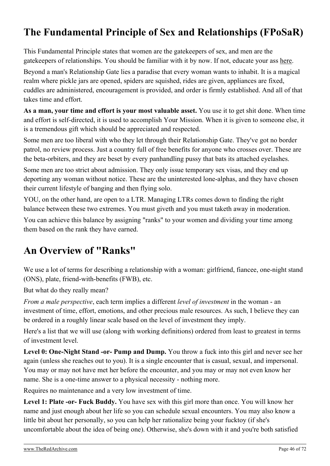# **The Fundamental Principle of Sex and Relationships (FPoSaR)**

This Fundamental Principle states that women are the gatekeepers of sex, and men are the gatekeepers of relationships. You should be familiar with it by now. If not, educate your ass [here.](https://archive.today/ypiUm)

Beyond a man's Relationship Gate lies a paradise that every woman wants to inhabit. It is a magical realm where pickle jars are opened, spiders are squished, rides are given, appliances are fixed, cuddles are administered, encouragement is provided, and order is firmly established. And all of that takes time and effort.

**As a man, your time and effort is your most valuable asset.** You use it to get shit done. When time and effort is self-directed, it is used to accomplish Your Mission. When it is given to someone else, it is a tremendous gift which should be appreciated and respected.

Some men are too liberal with who they let through their Relationship Gate. They've got no border patrol, no review process. Just a country full of free benefits for anyone who crosses over. These are the beta-orbiters, and they are beset by every panhandling pussy that bats its attached eyelashes.

Some men are too strict about admission. They only issue temporary sex visas, and they end up deporting any woman without notice. These are the uninterested lone-alphas, and they have chosen their current lifestyle of banging and then flying solo.

YOU, on the other hand, are open to a LTR. Managing LTRs comes down to finding the right balance between these two extremes. You must giveth and you must taketh away in moderation.

You can achieve this balance by assigning "ranks" to your women and dividing your time among them based on the rank they have earned.

# **An Overview of "Ranks"**

We use a lot of terms for describing a relationship with a woman: girlfriend, fiancee, one-night stand (ONS), plate, friend-with-benefits (FWB), etc.

But what do they really mean?

*From a male perspective*, each term implies a different *level of investment* in the woman - an investment of time, effort, emotions, and other precious male resources. As such, I believe they can be ordered in a roughly linear scale based on the level of investment they imply.

Here's a list that we will use (along with working definitions) ordered from least to greatest in terms of investment level.

**Level 0: One-Night Stand -or- Pump and Dump.** You throw a fuck into this girl and never see her again (unless she reaches out to you). It is a single encounter that is casual, sexual, and impersonal. You may or may not have met her before the encounter, and you may or may not even know her name. She is a one-time answer to a physical necessity - nothing more.

Requires no maintenance and a very low investment of time.

**Level 1: Plate -or- Fuck Buddy.** You have sex with this girl more than once. You will know her name and just enough about her life so you can schedule sexual encounters. You may also know a little bit about her personally, so you can help her rationalize being your fucktoy (if she's uncomfortable about the idea of being one). Otherwise, she's down with it and you're both satisfied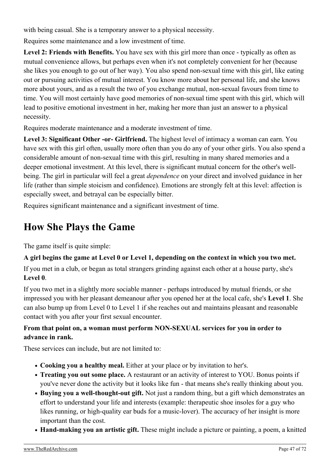with being casual. She is a temporary answer to a physical necessity.

Requires some maintenance and a low investment of time.

Level 2: Friends with Benefits. You have sex with this girl more than once - typically as often as mutual convenience allows, but perhaps even when it's not completely convenient for her (because she likes you enough to go out of her way). You also spend non-sexual time with this girl, like eating out or pursuing activities of mutual interest. You know more about her personal life, and she knows more about yours, and as a result the two of you exchange mutual, non-sexual favours from time to time. You will most certainly have good memories of non-sexual time spent with this girl, which will lead to positive emotional investment in her, making her more than just an answer to a physical necessity.

Requires moderate maintenance and a moderate investment of time.

**Level 3: Significant Other -or- Girlfriend.** The highest level of intimacy a woman can earn. You have sex with this girl often, usually more often than you do any of your other girls. You also spend a considerable amount of non-sexual time with this girl, resulting in many shared memories and a deeper emotional investment. At this level, there is significant mutual concern for the other's wellbeing. The girl in particular will feel a great *dependence* on your direct and involved guidance in her life (rather than simple stoicism and confidence). Emotions are strongly felt at this level: affection is especially sweet, and betrayal can be especially bitter.

Requires significant maintenance and a significant investment of time.

### **How She Plays the Game**

The game itself is quite simple:

### **A girl begins the game at Level 0 or Level 1, depending on the context in which you two met.**

If you met in a club, or began as total strangers grinding against each other at a house party, she's **Level 0**.

If you two met in a slightly more sociable manner - perhaps introduced by mutual friends, or she impressed you with her pleasant demeanour after you opened her at the local cafe, she's **Level 1**. She can also bump up from Level 0 to Level 1 if she reaches out and maintains pleasant and reasonable contact with you after your first sexual encounter.

### **From that point on, a woman must perform NON-SEXUAL services for you in order to advance in rank.**

These services can include, but are not limited to:

- **Cooking you a healthy meal.** Either at your place or by invitation to her's.
- **Treating you out some place.** A restaurant or an activity of interest to YOU. Bonus points if you've never done the activity but it looks like fun - that means she's really thinking about you.
- **Buying you a well-thought-out gift.** Not just a random thing, but a gift which demonstrates an effort to understand your life and interests (example: therapeutic shoe insoles for a guy who likes running, or high-quality ear buds for a music-lover). The accuracy of her insight is more important than the cost.
- **Hand-making you an artistic gift.** These might include a picture or painting, a poem, a knitted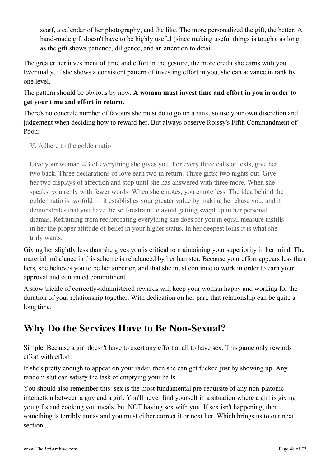scarf, a calendar of her photography, and the like. The more personalized the gift, the better. A hand-made gift doesn't have to be highly useful (since making useful things is tough), as long as the gift shows patience, diligence, and an attention to detail.

The greater her investment of time and effort in the gesture, the more credit she earns with you. Eventually, if she shows a consistent pattern of investing effort in you, she can advance in rank by one level.

The pattern should be obvious by now. **A woman must invest time and effort in you in order to get your time and effort in return.**

There's no concrete number of favours she must do to go up a rank, so use your own discretion and judgement when deciding how to reward her. But always observe [Roissy's Fifth Commandment of](https://heartiste.wordpress.com/the-sixteen-commandments-of-poon/) [Poon](https://heartiste.wordpress.com/the-sixteen-commandments-of-poon/):

V. Adhere to the golden ratio

Give your woman 2/3 of everything she gives you. For every three calls or texts, give her two back. Three declarations of love earn two in return. Three gifts; two nights out. Give her two displays of affection and stop until she has answered with three more. When she speaks, you reply with fewer words. When she emotes, you emote less. The idea behind the golden ratio is twofold — it establishes your greater value by making her chase you, and it demonstrates that you have the self-restraint to avoid getting swept up in her personal dramas. Refraining from reciprocating everything she does for you in equal measure instills in her the proper attitude of belief in your higher status. In her deepest loins it is what she truly wants.

Giving her slightly less than she gives you is critical to maintaining your superiority in her mind. The material imbalance in this scheme is rebalanced by her hamster. Because your effort appears less than hers, she believes you to be her superior, and that she must continue to work in order to earn your approval and continued commitment.

A slow trickle of correctly-administered rewards will keep your woman happy and working for the duration of your relationship together. With dedication on her part, that relationship can be quite a long time.

## **Why Do the Services Have to Be Non-Sexual?**

Simple. Because a girl doesn't have to exert any effort at all to have sex. This game only rewards effort with effort.

If she's pretty enough to appear on your radar, then she can get fucked just by showing up. Any random slut can satisfy the task of emptying your balls.

You should also remember this: sex is the most fundamental pre-requisite of any non-platonic interaction between a guy and a girl. You'll never find yourself in a situation where a girl is giving you gifts and cooking you meals, but NOT having sex with you. If sex isn't happening, then something is terribly amiss and you must either correct it or next her. Which brings us to our next section...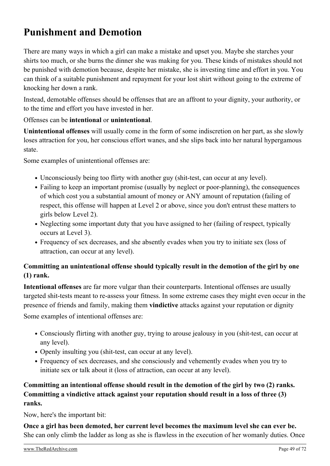# **Punishment and Demotion**

There are many ways in which a girl can make a mistake and upset you. Maybe she starches your shirts too much, or she burns the dinner she was making for you. These kinds of mistakes should not be punished with demotion because, despite her mistake, she is investing time and effort in you. You can think of a suitable punishment and repayment for your lost shirt without going to the extreme of knocking her down a rank.

Instead, demotable offenses should be offenses that are an affront to your dignity, your authority, or to the time and effort you have invested in her.

#### Offenses can be **intentional** or **unintentional**.

**Unintentional offenses** will usually come in the form of some indiscretion on her part, as she slowly loses attraction for you, her conscious effort wanes, and she slips back into her natural hypergamous state.

Some examples of unintentional offenses are:

- Unconsciously being too flirty with another guy (shit-test, can occur at any level).
- Failing to keep an important promise (usually by neglect or poor-planning), the consequences of which cost you a substantial amount of money or ANY amount of reputation (failing of respect, this offense will happen at Level 2 or above, since you don't entrust these matters to girls below Level 2).
- Neglecting some important duty that you have assigned to her (failing of respect, typically occurs at Level 3).
- Frequency of sex decreases, and she absently evades when you try to initiate sex (loss of attraction, can occur at any level).

### **Committing an unintentional offense should typically result in the demotion of the girl by one (1) rank.**

**Intentional offenses** are far more vulgar than their counterparts. Intentional offenses are usually targeted shit-tests meant to re-assess your fitness. In some extreme cases they might even occur in the presence of friends and family, making them **vindictive** attacks against your reputation or dignity Some examples of intentional offenses are:

- Consciously flirting with another guy, trying to arouse jealousy in you (shit-test, can occur at any level).
- Openly insulting you (shit-test, can occur at any level).
- Frequency of sex decreases, and she consciously and vehemently evades when you try to initiate sex or talk about it (loss of attraction, can occur at any level).

### **Committing an intentional offense should result in the demotion of the girl by two (2) ranks. Committing a vindictive attack against your reputation should result in a loss of three (3) ranks.**

Now, here's the important bit:

**Once a girl has been demoted, her current level becomes the maximum level she can ever be.** She can only climb the ladder as long as she is flawless in the execution of her womanly duties. Once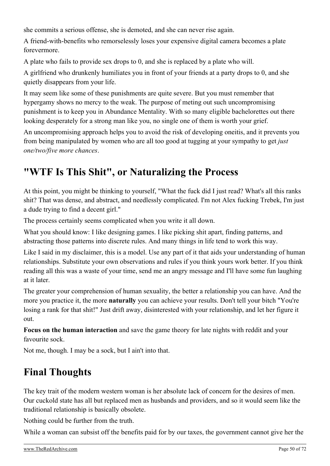she commits a serious offense, she is demoted, and she can never rise again.

A friend-with-benefits who remorselessly loses your expensive digital camera becomes a plate forevermore.

A plate who fails to provide sex drops to 0, and she is replaced by a plate who will.

A girlfriend who drunkenly humiliates you in front of your friends at a party drops to 0, and she quietly disappears from your life.

It may seem like some of these punishments are quite severe. But you must remember that hypergamy shows no mercy to the weak. The purpose of meting out such uncompromising punishment is to keep you in Abundance Mentality. With so many eligible bachelorettes out there looking desperately for a strong man like you, no single one of them is worth your grief.

An uncompromising approach helps you to avoid the risk of developing oneitis, and it prevents you from being manipulated by women who are all too good at tugging at your sympathy to get *just one/two/five more chances*.

## **"WTF Is This Shit", or Naturalizing the Process**

At this point, you might be thinking to yourself, "What the fuck did I just read? What's all this ranks shit? That was dense, and abstract, and needlessly complicated. I'm not Alex fucking Trebek, I'm just a dude trying to find a decent girl."

The process certainly seems complicated when you write it all down.

What you should know: I like designing games. I like picking shit apart, finding patterns, and abstracting those patterns into discrete rules. And many things in life tend to work this way.

Like I said in my disclaimer, this is a model. Use any part of it that aids your understanding of human relationships. Substitute your own observations and rules if you think yours work better. If you think reading all this was a waste of your time, send me an angry message and I'll have some fun laughing at it later.

The greater your comprehension of human sexuality, the better a relationship you can have. And the more you practice it, the more **naturally** you can achieve your results. Don't tell your bitch "You're losing a rank for that shit!" Just drift away, disinterested with your relationship, and let her figure it out.

**Focus on the human interaction** and save the game theory for late nights with reddit and your favourite sock.

Not me, though. I may be a sock, but I ain't into that.

## **Final Thoughts**

The key trait of the modern western woman is her absolute lack of concern for the desires of men. Our cuckold state has all but replaced men as husbands and providers, and so it would seem like the traditional relationship is basically obsolete.

Nothing could be further from the truth.

While a woman can subsist off the benefits paid for by our taxes, the government cannot give her the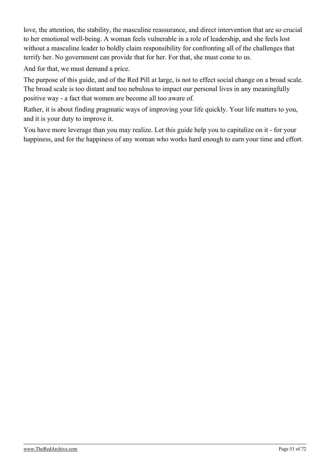love, the attention, the stability, the masculine reassurance, and direct intervention that are so crucial to her emotional well-being. A woman feels vulnerable in a role of leadership, and she feels lost without a masculine leader to boldly claim responsibility for confronting all of the challenges that terrify her. No government can provide that for her. For that, she must come to us.

And for that, we must demand a price.

The purpose of this guide, and of the Red Pill at large, is not to effect social change on a broad scale. The broad scale is too distant and too nebulous to impact our personal lives in any meaningfully positive way - a fact that women are become all too aware of.

Rather, it is about finding pragmatic ways of improving your life quickly. Your life matters to you, and it is your duty to improve it.

You have more leverage than you may realize. Let this guide help you to capitalize on it - for your happiness, and for the happiness of any woman who works hard enough to earn your time and effort.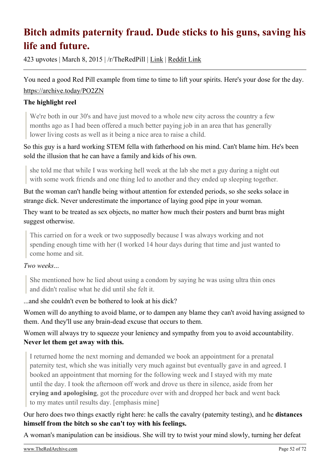# **Bitch admits paternity fraud. Dude sticks to his guns, saving his life and future.**

423 upvotes | March 8, 2015 | /r/TheRedPill | [Link](https://theredarchive.com/r/TheRedPill/bitch-admits-paternity-fraud-dude-sticks-to-his.29985) | [Reddit Link](https://old.reddit.com/r/TheRedPill/comments/2ycmzv/bitch_admits_paternity_fraud_dude_sticks_to_his/)

### You need a good Red Pill example from time to time to lift your spirits. Here's your dose for the day. <https://archive.today/PO2ZN>

### **The highlight reel**

We're both in our 30's and have just moved to a whole new city across the country a few months ago as I had been offered a much better paying job in an area that has generally lower living costs as well as it being a nice area to raise a child.

So this guy is a hard working STEM fella with fatherhood on his mind. Can't blame him. He's been sold the illusion that he can have a family and kids of his own.

she told me that while I was working hell week at the lab she met a guy during a night out with some work friends and one thing led to another and they ended up sleeping together.

But the woman can't handle being without attention for extended periods, so she seeks solace in strange dick. Never underestimate the importance of laying good pipe in your woman.

They want to be treated as sex objects, no matter how much their posters and burnt bras might suggest otherwise.

This carried on for a week or two supposedly because I was always working and not spending enough time with her (I worked 14 hour days during that time and just wanted to come home and sit.

#### *Two weeks*...

She mentioned how he lied about using a condom by saying he was using ultra thin ones and didn't realise what he did until she felt it.

...and she couldn't even be bothered to look at his dick?

Women will do anything to avoid blame, or to dampen any blame they can't avoid having assigned to them. And they'll use any brain-dead excuse that occurs to them.

Women will always try to squeeze your leniency and sympathy from you to avoid accountability. **Never let them get away with this.**

I returned home the next morning and demanded we book an appointment for a prenatal paternity test, which she was initially very much against but eventually gave in and agreed. I booked an appointment that morning for the following week and I stayed with my mate until the day. I took the afternoon off work and drove us there in silence, aside from her **crying and apologising**, got the procedure over with and dropped her back and went back to my mates until results day. [emphasis mine]

### Our hero does two things exactly right here: he calls the cavalry (paternity testing), and he **distances himself from the bitch so she can't toy with his feelings.**

A woman's manipulation can be insidious. She will try to twist your mind slowly, turning her defeat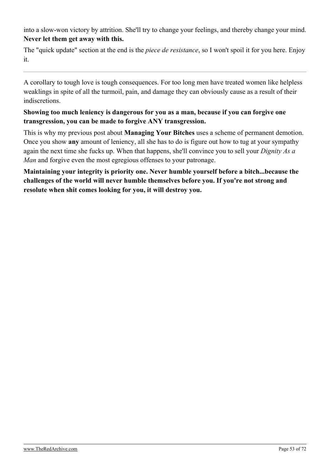into a slow-won victory by attrition. She'll try to change your feelings, and thereby change your mind. **Never let them get away with this.**

The "quick update" section at the end is the *piece de resistance*, so I won't spoil it for you here. Enjoy it.

A corollary to tough love is tough consequences. For too long men have treated women like helpless weaklings in spite of all the turmoil, pain, and damage they can obviously cause as a result of their indiscretions.

### **Showing too much leniency is dangerous for you as a man, because if you can forgive one transgression, you can be made to forgive ANY transgression.**

This is why my previous post about **Managing Your Bitches** uses a scheme of permanent demotion. Once you show **any** amount of leniency, all she has to do is figure out how to tug at your sympathy again the next time she fucks up. When that happens, she'll convince you to sell your *Dignity As a Man* and forgive even the most egregious offenses to your patronage.

**Maintaining your integrity is priority one. Never humble yourself before a bitch...because the challenges of the world will never humble themselves before you. If you're not strong and resolute when shit comes looking for you, it will destroy you.**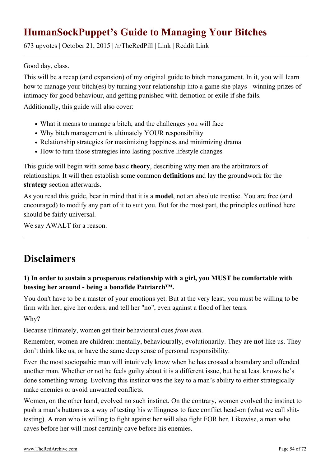## **HumanSockPuppet's Guide to Managing Your Bitches**

673 upvotes | October 21, 2015 | /r/TheRedPill | [Link](https://theredarchive.com/r/TheRedPill/humansockpuppets-guide-to-managing-your-bitches.37389) | [Reddit Link](https://old.reddit.com/r/TheRedPill/comments/3pltm2/humansockpuppets_guide_to_managing_your_bitches/)

Good day, class.

This will be a recap (and expansion) of my original guide to bitch management. In it, you will learn how to manage your bitch(es) by turning your relationship into a game she plays - winning prizes of intimacy for good behaviour, and getting punished with demotion or exile if she fails.

Additionally, this guide will also cover:

- What it means to manage a bitch, and the challenges you will face
- Why bitch management is ultimately YOUR responsibility
- Relationship strategies for maximizing happiness and minimizing drama
- How to turn those strategies into lasting positive lifestyle changes

This guide will begin with some basic **theory**, describing why men are the arbitrators of relationships. It will then establish some common **definitions** and lay the groundwork for the **strategy** section afterwards.

As you read this guide, bear in mind that it is a **model**, not an absolute treatise. You are free (and encouraged) to modify any part of it to suit you. But for the most part, the principles outlined here should be fairly universal.

We say AWALT for a reason.

### **Disclaimers**

### **1) In order to sustain a prosperous relationship with a girl, you MUST be comfortable with bossing her around - being a bonafide Patriarch™.**

You don't have to be a master of your emotions yet. But at the very least, you must be willing to be firm with her, give her orders, and tell her "no", even against a flood of her tears.

Why?

Because ultimately, women get their behavioural cues *from men.*

Remember, women are children: mentally, behaviourally, evolutionarily. They are **not** like us. They don't think like us, or have the same deep sense of personal responsibility.

Even the most sociopathic man will intuitively know when he has crossed a boundary and offended another man. Whether or not he feels guilty about it is a different issue, but he at least knows he's done something wrong. Evolving this instinct was the key to a man's ability to either strategically make enemies or avoid unwanted conflicts.

Women, on the other hand, evolved no such instinct. On the contrary, women evolved the instinct to push a man's buttons as a way of testing his willingness to face conflict head-on (what we call shittesting). A man who is willing to fight against her will also fight FOR her. Likewise, a man who caves before her will most certainly cave before his enemies.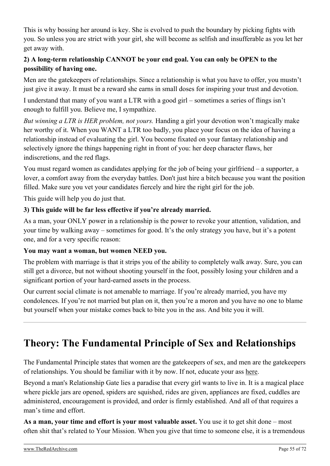This is why bossing her around is key. She is evolved to push the boundary by picking fights with you. So unless you are strict with your girl, she will become as selfish and insufferable as you let her get away with.

### **2) A long-term relationship CANNOT be your end goal. You can only be OPEN to the possibility of having one.**

Men are the gatekeepers of relationships. Since a relationship is what you have to offer, you mustn't just give it away. It must be a reward she earns in small doses for inspiring your trust and devotion.

I understand that many of you want a LTR with a good girl – sometimes a series of flings isn't enough to fulfill you. Believe me, I sympathize.

*But winning a LTR is HER problem, not yours.* Handing a girl your devotion won't magically make her worthy of it. When you WANT a LTR too badly, you place your focus on the idea of having a relationship instead of evaluating the girl. You become fixated on your fantasy relationship and selectively ignore the things happening right in front of you: her deep character flaws, her indiscretions, and the red flags.

You must regard women as candidates applying for the job of being your girlfriend – a supporter, a lover, a comfort away from the everyday battles. Don't just hire a bitch because you want the position filled. Make sure you vet your candidates fiercely and hire the right girl for the job.

This guide will help you do just that.

### **3) This guide will be far less effective if you're already married.**

As a man, your ONLY power in a relationship is the power to revoke your attention, validation, and your time by walking away – sometimes for good. It's the only strategy you have, but it's a potent one, and for a very specific reason:

#### **You may want a woman, but women NEED you.**

The problem with marriage is that it strips you of the ability to completely walk away. Sure, you can still get a divorce, but not without shooting yourself in the foot, possibly losing your children and a significant portion of your hard-earned assets in the process.

Our current social climate is not amenable to marriage. If you're already married, you have my condolences. If you're not married but plan on it, then you're a moron and you have no one to blame but yourself when your mistake comes back to bite you in the ass. And bite you it will.

## **Theory: The Fundamental Principle of Sex and Relationships**

The Fundamental Principle states that women are the gatekeepers of sex, and men are the gatekeepers of relationships. You should be familiar with it by now. If not, educate your ass [here.](https://archive.today/ypiUm)

Beyond a man's Relationship Gate lies a paradise that every girl wants to live in. It is a magical place where pickle jars are opened, spiders are squished, rides are given, appliances are fixed, cuddles are administered, encouragement is provided, and order is firmly established. And all of that requires a man's time and effort.

**As a man, your time and effort is your most valuable asset.** You use it to get shit done – most often shit that's related to Your Mission. When you give that time to someone else, it is a tremendous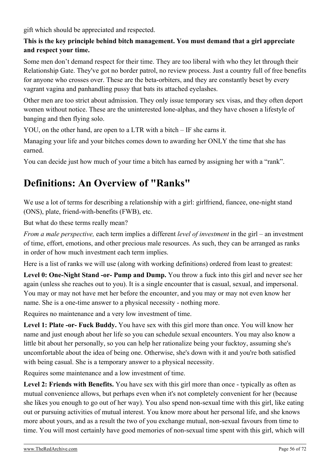gift which should be appreciated and respected.

### **This is the key principle behind bitch management. You must demand that a girl appreciate and respect your time.**

Some men don't demand respect for their time. They are too liberal with who they let through their Relationship Gate. They've got no border patrol, no review process. Just a country full of free benefits for anyone who crosses over. These are the beta-orbiters, and they are constantly beset by every vagrant vagina and panhandling pussy that bats its attached eyelashes.

Other men are too strict about admission. They only issue temporary sex visas, and they often deport women without notice. These are the uninterested lone-alphas, and they have chosen a lifestyle of banging and then flying solo.

YOU, on the other hand, are open to a LTR with a bitch – IF she earns it.

Managing your life and your bitches comes down to awarding her ONLY the time that she has earned.

You can decide just how much of your time a bitch has earned by assigning her with a "rank".

## **Definitions: An Overview of "Ranks"**

We use a lot of terms for describing a relationship with a girl: girlfriend, fiancee, one-night stand (ONS), plate, friend-with-benefits (FWB), etc.

But what do these terms really mean?

*From a male perspective,* each term implies a different *level of investment* in the girl – an investment of time, effort, emotions, and other precious male resources. As such, they can be arranged as ranks in order of how much investment each term implies.

Here is a list of ranks we will use (along with working definitions) ordered from least to greatest:

**Level 0: One-Night Stand -or- Pump and Dump.** You throw a fuck into this girl and never see her again (unless she reaches out to you). It is a single encounter that is casual, sexual, and impersonal. You may or may not have met her before the encounter, and you may or may not even know her name. She is a one-time answer to a physical necessity - nothing more.

Requires no maintenance and a very low investment of time.

**Level 1: Plate -or- Fuck Buddy.** You have sex with this girl more than once. You will know her name and just enough about her life so you can schedule sexual encounters. You may also know a little bit about her personally, so you can help her rationalize being your fucktoy, assuming she's uncomfortable about the idea of being one. Otherwise, she's down with it and you're both satisfied with being casual. She is a temporary answer to a physical necessity.

Requires some maintenance and a low investment of time.

Level 2: Friends with Benefits. You have sex with this girl more than once - typically as often as mutual convenience allows, but perhaps even when it's not completely convenient for her (because she likes you enough to go out of her way). You also spend non-sexual time with this girl, like eating out or pursuing activities of mutual interest. You know more about her personal life, and she knows more about yours, and as a result the two of you exchange mutual, non-sexual favours from time to time. You will most certainly have good memories of non-sexual time spent with this girl, which will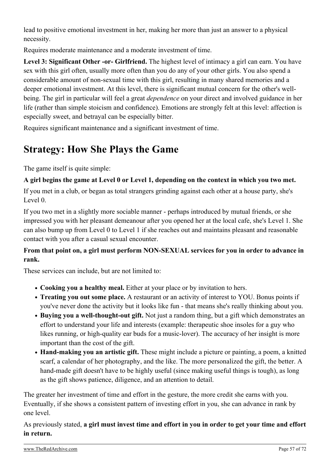lead to positive emotional investment in her, making her more than just an answer to a physical necessity.

Requires moderate maintenance and a moderate investment of time.

**Level 3: Significant Other -or- Girlfriend.** The highest level of intimacy a girl can earn. You have sex with this girl often, usually more often than you do any of your other girls. You also spend a considerable amount of non-sexual time with this girl, resulting in many shared memories and a deeper emotional investment. At this level, there is significant mutual concern for the other's wellbeing. The girl in particular will feel a great *dependence* on your direct and involved guidance in her life (rather than simple stoicism and confidence). Emotions are strongly felt at this level: affection is especially sweet, and betrayal can be especially bitter.

Requires significant maintenance and a significant investment of time.

# **Strategy: How She Plays the Game**

The game itself is quite simple:

### **A girl begins the game at Level 0 or Level 1, depending on the context in which you two met.**

If you met in a club, or began as total strangers grinding against each other at a house party, she's Level 0.

If you two met in a slightly more sociable manner - perhaps introduced by mutual friends, or she impressed you with her pleasant demeanour after you opened her at the local cafe, she's Level 1. She can also bump up from Level 0 to Level 1 if she reaches out and maintains pleasant and reasonable contact with you after a casual sexual encounter.

### **From that point on, a girl must perform NON-SEXUAL services for you in order to advance in rank.**

These services can include, but are not limited to:

- **Cooking you a healthy meal.** Either at your place or by invitation to hers.
- **Treating you out some place.** A restaurant or an activity of interest to YOU. Bonus points if you've never done the activity but it looks like fun - that means she's really thinking about you.
- **Buying you a well-thought-out gift.** Not just a random thing, but a gift which demonstrates an effort to understand your life and interests (example: therapeutic shoe insoles for a guy who likes running, or high-quality ear buds for a music-lover). The accuracy of her insight is more important than the cost of the gift.
- **Hand-making you an artistic gift.** These might include a picture or painting, a poem, a knitted scarf, a calendar of her photography, and the like. The more personalized the gift, the better. A hand-made gift doesn't have to be highly useful (since making useful things is tough), as long as the gift shows patience, diligence, and an attention to detail.

The greater her investment of time and effort in the gesture, the more credit she earns with you. Eventually, if she shows a consistent pattern of investing effort in you, she can advance in rank by one level.

As previously stated, **a girl must invest time and effort in you in order to get your time and effort in return.**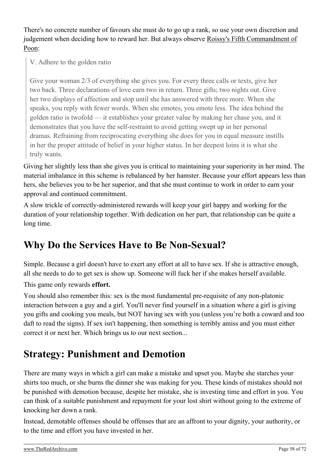There's no concrete number of favours she must do to go up a rank, so use your own discretion and judgement when deciding how to reward her. But always observe [Roissy's Fifth Commandment of](https://heartiste.wordpress.com/the-sixteen-commandments-of-poon/) [Poon](https://heartiste.wordpress.com/the-sixteen-commandments-of-poon/):

V. Adhere to the golden ratio

Give your woman 2/3 of everything she gives you. For every three calls or texts, give her two back. Three declarations of love earn two in return. Three gifts; two nights out. Give her two displays of affection and stop until she has answered with three more. When she speaks, you reply with fewer words. When she emotes, you emote less. The idea behind the golden ratio is twofold — it establishes your greater value by making her chase you, and it demonstrates that you have the self-restraint to avoid getting swept up in her personal dramas. Refraining from reciprocating everything she does for you in equal measure instills in her the proper attitude of belief in your higher status. In her deepest loins it is what she truly wants.

Giving her slightly less than she gives you is critical to maintaining your superiority in her mind. The material imbalance in this scheme is rebalanced by her hamster. Because your effort appears less than hers, she believes you to be her superior, and that she must continue to work in order to earn your approval and continued commitment.

A slow trickle of correctly-administered rewards will keep your girl happy and working for the duration of your relationship together. With dedication on her part, that relationship can be quite a long time.

# **Why Do the Services Have to Be Non-Sexual?**

Simple. Because a girl doesn't have to exert any effort at all to have sex. If she is attractive enough, all she needs to do to get sex is show up. Someone will fuck her if she makes herself available.

This game only rewards **effort.**

You should also remember this: sex is the most fundamental pre-requisite of any non-platonic interaction between a guy and a girl. You'll never find yourself in a situation where a girl is giving you gifts and cooking you meals, but NOT having sex with you (unless you're both a coward and too daft to read the signs). If sex isn't happening, then something is terribly amiss and you must either correct it or next her. Which brings us to our next section...

# **Strategy: Punishment and Demotion**

There are many ways in which a girl can make a mistake and upset you. Maybe she starches your shirts too much, or she burns the dinner she was making for you. These kinds of mistakes should not be punished with demotion because, despite her mistake, she is investing time and effort in you. You can think of a suitable punishment and repayment for your lost shirt without going to the extreme of knocking her down a rank.

Instead, demotable offenses should be offenses that are an affront to your dignity, your authority, or to the time and effort you have invested in her.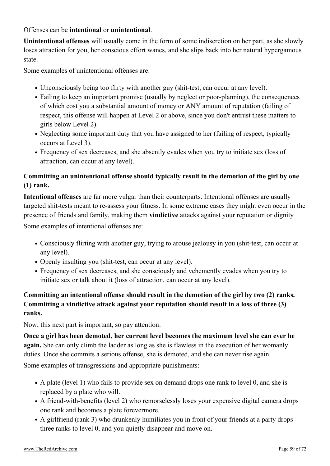Offenses can be **intentional** or **unintentional**.

**Unintentional offenses** will usually come in the form of some indiscretion on her part, as she slowly loses attraction for you, her conscious effort wanes, and she slips back into her natural hypergamous state.

Some examples of unintentional offenses are:

- Unconsciously being too flirty with another guy (shit-test, can occur at any level).
- Failing to keep an important promise (usually by neglect or poor-planning), the consequences of which cost you a substantial amount of money or ANY amount of reputation (failing of respect, this offense will happen at Level 2 or above, since you don't entrust these matters to girls below Level 2).
- Neglecting some important duty that you have assigned to her (failing of respect, typically occurs at Level 3).
- Frequency of sex decreases, and she absently evades when you try to initiate sex (loss of attraction, can occur at any level).

### **Committing an unintentional offense should typically result in the demotion of the girl by one (1) rank.**

**Intentional offenses** are far more vulgar than their counterparts. Intentional offenses are usually targeted shit-tests meant to re-assess your fitness. In some extreme cases they might even occur in the presence of friends and family, making them **vindictive** attacks against your reputation or dignity

Some examples of intentional offenses are:

- Consciously flirting with another guy, trying to arouse jealousy in you (shit-test, can occur at any level).
- Openly insulting you (shit-test, can occur at any level).
- Frequency of sex decreases, and she consciously and vehemently evades when you try to initiate sex or talk about it (loss of attraction, can occur at any level).

### **Committing an intentional offense should result in the demotion of the girl by two (2) ranks. Committing a vindictive attack against your reputation should result in a loss of three (3) ranks.**

Now, this next part is important, so pay attention:

**Once a girl has been demoted, her current level becomes the maximum level she can ever be again.** She can only climb the ladder as long as she is flawless in the execution of her womanly duties. Once she commits a serious offense, she is demoted, and she can never rise again.

Some examples of transgressions and appropriate punishments:

- A plate (level 1) who fails to provide sex on demand drops one rank to level 0, and she is replaced by a plate who will.
- A friend-with-benefits (level 2) who remorselessly loses your expensive digital camera drops one rank and becomes a plate forevermore.
- A girlfriend (rank 3) who drunkenly humiliates you in front of your friends at a party drops three ranks to level 0, and you quietly disappear and move on.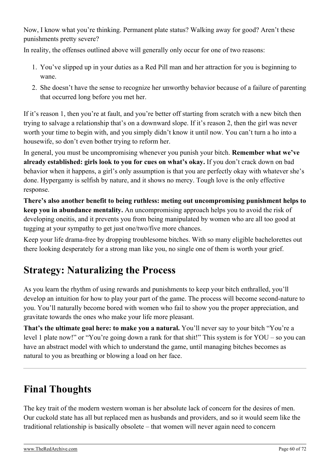Now, I know what you're thinking. Permanent plate status? Walking away for good? Aren't these punishments pretty severe?

In reality, the offenses outlined above will generally only occur for one of two reasons:

- 1. You've slipped up in your duties as a Red Pill man and her attraction for you is beginning to wane.
- 2. She doesn't have the sense to recognize her unworthy behavior because of a failure of parenting that occurred long before you met her.

If it's reason 1, then you're at fault, and you're better off starting from scratch with a new bitch then trying to salvage a relationship that's on a downward slope. If it's reason 2, then the girl was never worth your time to begin with, and you simply didn't know it until now. You can't turn a ho into a housewife, so don't even bother trying to reform her.

In general, you must be uncompromising whenever you punish your bitch. **Remember what we've already established: girls look to you for cues on what's okay.** If you don't crack down on bad behavior when it happens, a girl's only assumption is that you are perfectly okay with whatever she's done. Hypergamy is selfish by nature, and it shows no mercy. Tough love is the only effective response.

**There's also another benefit to being ruthless: meting out uncompromising punishment helps to keep you in abundance mentality.** An uncompromising approach helps you to avoid the risk of developing oneitis, and it prevents you from being manipulated by women who are all too good at tugging at your sympathy to get just one/two/five more chances.

Keep your life drama-free by dropping troublesome bitches. With so many eligible bachelorettes out there looking desperately for a strong man like you, no single one of them is worth your grief.

# **Strategy: Naturalizing the Process**

As you learn the rhythm of using rewards and punishments to keep your bitch enthralled, you'll develop an intuition for how to play your part of the game. The process will become second-nature to you. You'll naturally become bored with women who fail to show you the proper appreciation, and gravitate towards the ones who make your life more pleasant.

**That's the ultimate goal here: to make you a natural.** You'll never say to your bitch "You're a level 1 plate now!" or "You're going down a rank for that shit!" This system is for YOU – so you can have an abstract model with which to understand the game, until managing bitches becomes as natural to you as breathing or blowing a load on her face.

## **Final Thoughts**

The key trait of the modern western woman is her absolute lack of concern for the desires of men. Our cuckold state has all but replaced men as husbands and providers, and so it would seem like the traditional relationship is basically obsolete – that women will never again need to concern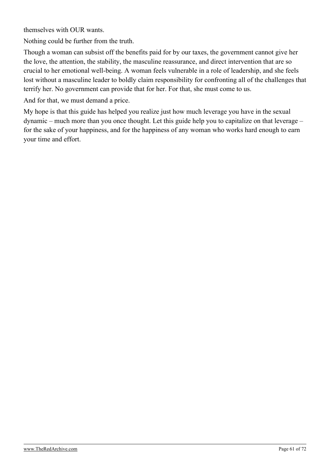themselves with OUR wants.

Nothing could be further from the truth.

Though a woman can subsist off the benefits paid for by our taxes, the government cannot give her the love, the attention, the stability, the masculine reassurance, and direct intervention that are so crucial to her emotional well-being. A woman feels vulnerable in a role of leadership, and she feels lost without a masculine leader to boldly claim responsibility for confronting all of the challenges that terrify her. No government can provide that for her. For that, she must come to us.

And for that, we must demand a price.

My hope is that this guide has helped you realize just how much leverage you have in the sexual dynamic – much more than you once thought. Let this guide help you to capitalize on that leverage – for the sake of your happiness, and for the happiness of any woman who works hard enough to earn your time and effort.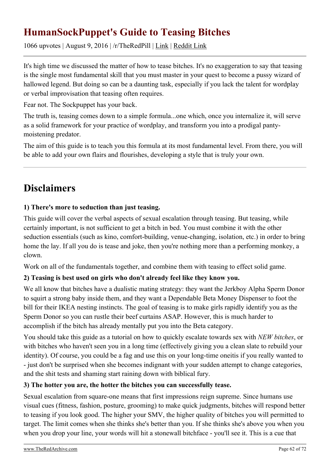## **HumanSockPuppet's Guide to Teasing Bitches**

1066 upvotes | August 9, 2016 | /r/TheRedPill | [Link](https://theredarchive.com/r/TheRedPill/humansockpuppets-guide-to-teasing-bitches.39468) | [Reddit Link](https://old.reddit.com/r/TheRedPill/comments/4wu6n4/humansockpuppets_guide_to_teasing_bitches/)

It's high time we discussed the matter of how to tease bitches. It's no exaggeration to say that teasing is the single most fundamental skill that you must master in your quest to become a pussy wizard of hallowed legend. But doing so can be a daunting task, especially if you lack the talent for wordplay or verbal improvisation that teasing often requires.

Fear not. The Sockpuppet has your back.

The truth is, teasing comes down to a simple formula...one which, once you internalize it, will serve as a solid framework for your practice of wordplay, and transform you into a prodigal pantymoistening predator.

The aim of this guide is to teach you this formula at its most fundamental level. From there, you will be able to add your own flairs and flourishes, developing a style that is truly your own.

## **Disclaimers**

### **1) There's more to seduction than just teasing.**

This guide will cover the verbal aspects of sexual escalation through teasing. But teasing, while certainly important, is not sufficient to get a bitch in bed. You must combine it with the other seduction essentials (such as kino, comfort-building, venue-changing, isolation, etc.) in order to bring home the lay. If all you do is tease and joke, then you're nothing more than a performing monkey, a clown.

Work on all of the fundamentals together, and combine them with teasing to effect solid game.

### **2) Teasing is best used on girls who don't already feel like they know you.**

We all know that bitches have a dualistic mating strategy: they want the Jerkboy Alpha Sperm Donor to squirt a strong baby inside them, and they want a Dependable Beta Money Dispenser to foot the bill for their IKEA nesting instincts. The goal of teasing is to make girls rapidly identify you as the Sperm Donor so you can rustle their beef curtains ASAP. However, this is much harder to accomplish if the bitch has already mentally put you into the Beta category.

You should take this guide as a tutorial on how to quickly escalate towards sex with *NEW bitches*, or with bitches who haven't seen you in a long time (effectively giving you a clean slate to rebuild your identity). Of course, you could be a fag and use this on your long-time oneitis if you really wanted to - just don't be surprised when she becomes indignant with your sudden attempt to change categories, and the shit tests and shaming start raining down with biblical fury.

### **3) The hotter you are, the hotter the bitches you can successfully tease.**

Sexual escalation from square-one means that first impressions reign supreme. Since humans use visual cues (fitness, fashion, posture, grooming) to make quick judgments, bitches will respond better to teasing if you look good. The higher your SMV, the higher quality of bitches you will permitted to target. The limit comes when she thinks she's better than you. If she thinks she's above you when you when you drop your line, your words will hit a stonewall bitchface - you'll see it. This is a cue that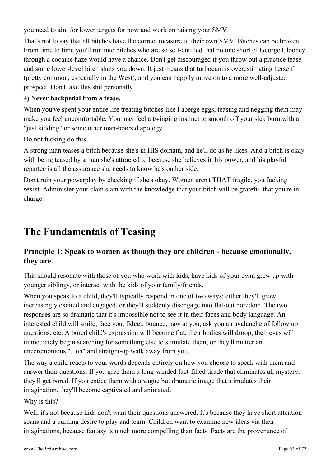you need to aim for lower targets for now and work on raising your SMV.

That's not to say that all bitches have the correct measure of their own SMV. Bitches can be broken. From time to time you'll run into bitches who are so self-entitled that no one short of George Clooney through a cocaine haze would have a chance. Don't get discouraged if you throw out a practice tease and some lower-level bitch shuts you down. It just means that turbocunt is overestimating herself (pretty common, especially in the West), and you can happily move on to a more well-adjusted prospect. Don't take this shit personally.

### **4) Never backpedal from a tease.**

When you've spent your entire life treating bitches like Fabergé eggs, teasing and negging them may make you feel uncomfortable. You may feel a twinging instinct to smooth off your sick burn with a "just kidding" or some other man-boobed apology.

Do not fucking do this.

A strong man teases a bitch because she's in HIS domain, and he'll do as he likes. And a bitch is okay with being teased by a man she's attracted to because she believes in his power, and his playful repartee is all the assurance she needs to know he's on her side.

Don't ruin your powerplay by checking if she's okay. Women aren't THAT fragile, you fucking sexist. Administer your clam slam with the knowledge that your bitch will be grateful that you're in charge.

# **The Fundamentals of Teasing**

### **Principle 1: Speak to women as though they are children - because emotionally, they are.**

This should resonate with those of you who work with kids, have kids of your own, grew up with younger siblings, or interact with the kids of your family/friends.

When you speak to a child, they'll typically respond in one of two ways: either they'll grow increasingly excited and engaged, or they'll suddenly disengage into flat-out boredom. The two responses are so dramatic that it's impossible not to see it in their faces and body language. An interested child will smile, face you, fidget, bounce, paw at you, ask you an avalanche of follow up questions, etc. A bored child's expression will become flat, their bodies will droop, their eyes will immediately begin searching for something else to stimulate them, or they'll mutter an unceremonious "...oh" and straight-up walk away from you.

The way a child reacts to your words depends entirely on how you choose to speak with them and answer their questions. If you give them a long-winded fact-filled tirade that eliminates all mystery, they'll get bored. If you entice them with a vague but dramatic image that stimulates their imagination, they'll become captivated and animated.

### Why is this?

Well, it's not because kids don't want their questions answered. It's because they have short attention spans and a burning desire to play and learn. Children want to examine new ideas via their imaginations, because fantasy is much more compelling than facts. Facts are the provenance of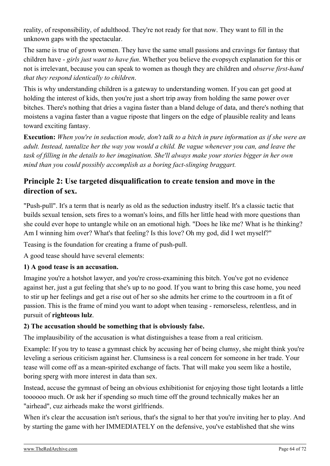reality, of responsibility, of adulthood. They're not ready for that now. They want to fill in the unknown gaps with the spectacular.

The same is true of grown women. They have the same small passions and cravings for fantasy that children have - *girls just want to have fun*. Whether you believe the evopsych explanation for this or not is irrelevant, because you can speak to women as though they are children and *observe first-hand that they respond identically to children*.

This is why understanding children is a gateway to understanding women. If you can get good at holding the interest of kids, then you're just a short trip away from holding the same power over bitches. There's nothing that dries a vagina faster than a bland deluge of data, and there's nothing that moistens a vagina faster than a vague riposte that lingers on the edge of plausible reality and leans toward exciting fantasy.

**Execution:** *When you're in seduction mode, don't talk to a bitch in pure information as if she were an adult. Instead, tantalize her the way you would a child. Be vague whenever you can, and leave the task of filling in the details to her imagination. She'll always make your stories bigger in her own mind than you could possibly accomplish as a boring fact-slinging braggart.*

### **Principle 2: Use targeted disqualification to create tension and move in the direction of sex.**

"Push-pull". It's a term that is nearly as old as the seduction industry itself. It's a classic tactic that builds sexual tension, sets fires to a woman's loins, and fills her little head with more questions than she could ever hope to untangle while on an emotional high. "Does he like me? What is he thinking? Am I winning him over? What's that feeling? Is this love? Oh my god, did I wet myself?"

Teasing is the foundation for creating a frame of push-pull.

A good tease should have several elements:

### **1) A good tease is an accusation.**

Imagine you're a hotshot lawyer, and you're cross-examining this bitch. You've got no evidence against her, just a gut feeling that she's up to no good. If you want to bring this case home, you need to stir up her feelings and get a rise out of her so she admits her crime to the courtroom in a fit of passion. This is the frame of mind you want to adopt when teasing - remorseless, relentless, and in pursuit of **righteous lulz**.

### **2) The accusation should be something that is obviously false.**

The implausibility of the accusation is what distinguishes a tease from a real criticism.

Example: If you try to tease a gymnast chick by accusing her of being clumsy, she might think you're leveling a serious criticism against her. Clumsiness is a real concern for someone in her trade. Your tease will come off as a mean-spirited exchange of facts. That will make you seem like a hostile, boring sperg with more interest in data than sex.

Instead, accuse the gymnast of being an obvious exhibitionist for enjoying those tight leotards a little toooooo much. Or ask her if spending so much time off the ground technically makes her an "airhead", cuz airheads make the worst girlfriends.

When it's clear the accusation isn't serious, that's the signal to her that you're inviting her to play. And by starting the game with her IMMEDIATELY on the defensive, you've established that she wins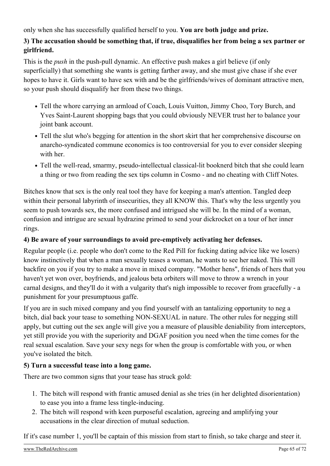only when she has successfully qualified herself to you. **You are both judge and prize.**

### **3) The accusation should be something that, if true, disqualifies her from being a sex partner or girlfriend.**

This is the *push* in the push-pull dynamic. An effective push makes a girl believe (if only superficially) that something she wants is getting farther away, and she must give chase if she ever hopes to have it. Girls want to have sex with and be the girlfriends/wives of dominant attractive men, so your push should disqualify her from these two things.

- Tell the whore carrying an armload of Coach, Louis Vuitton, Jimmy Choo, Tory Burch, and Yves Saint-Laurent shopping bags that you could obviously NEVER trust her to balance your joint bank account.
- Tell the slut who's begging for attention in the short skirt that her comprehensive discourse on anarcho-syndicated commune economics is too controversial for you to ever consider sleeping with her.
- Tell the well-read, smarmy, pseudo-intellectual classical-lit booknerd bitch that she could learn a thing or two from reading the sex tips column in Cosmo - and no cheating with Cliff Notes.

Bitches know that sex is the only real tool they have for keeping a man's attention. Tangled deep within their personal labyrinth of insecurities, they all KNOW this. That's why the less urgently you seem to push towards sex, the more confused and intrigued she will be. In the mind of a woman, confusion and intrigue are sexual hydrazine primed to send your dickrocket on a tour of her inner rings.

### **4) Be aware of your surroundings to avoid pre-emptively activating her defenses.**

Regular people (i.e. people who don't come to the Red Pill for fucking dating advice like we losers) know instinctively that when a man sexually teases a woman, he wants to see her naked. This will backfire on you if you try to make a move in mixed company. "Mother hens", friends of hers that you haven't yet won over, boyfriends, and jealous beta orbiters will move to throw a wrench in your carnal designs, and they'll do it with a vulgarity that's nigh impossible to recover from gracefully - a punishment for your presumptuous gaffe.

If you are in such mixed company and you find yourself with an tantalizing opportunity to neg a bitch, dial back your tease to something NON-SEXUAL in nature. The other rules for negging still apply, but cutting out the sex angle will give you a measure of plausible deniability from interceptors, yet still provide you with the superiority and DGAF position you need when the time comes for the real sexual escalation. Save your sexy negs for when the group is comfortable with you, or when you've isolated the bitch.

### **5) Turn a successful tease into a long game.**

There are two common signs that your tease has struck gold:

- 1. The bitch will respond with frantic amused denial as she tries (in her delighted disorientation) to ease you into a frame less tingle-inducing.
- 2. The bitch will respond with keen purposeful escalation, agreeing and amplifying your accusations in the clear direction of mutual seduction.

If it's case number 1, you'll be captain of this mission from start to finish, so take charge and steer it.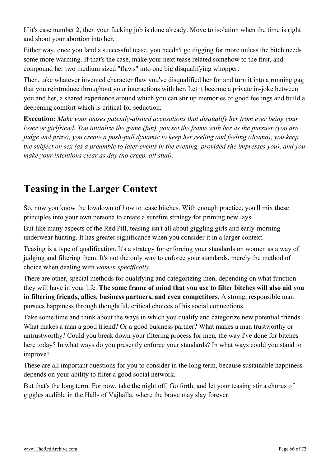If it's case number 2, then your fucking job is done already. Move to isolation when the time is right and shoot your abortion into her.

Either way, once you land a successful tease, you needn't go digging for more unless the bitch needs some more warming. If that's the case, make your next tease related somehow to the first, and compound her two medium sized "flaws" into one big disqualifying whopper.

Then, take whatever invented character flaw you've disqualified her for and turn it into a running gag that you reintroduce throughout your interactions with her. Let it become a private in-joke between you and her, a shared experience around which you can stir up memories of good feelings and build a deepening comfort which is critical for seduction.

**Execution:** *Make your teases patently-absurd accusations that disqualify her from ever being your lover or girlfriend. You initialize the game (fun), you set the frame with her as the pursuer (you are judge and prize), you create a push-pull dynamic to keep her reeling and feeling (drama), you keep the subject on sex (as a preamble to later events in the evening, provided she impresses you), and you make your intentions clear as day (no creep, all stud).*

# **Teasing in the Larger Context**

So, now you know the lowdown of how to tease bitches. With enough practice, you'll mix these principles into your own persona to create a surefire strategy for priming new lays.

But like many aspects of the Red Pill, teasing isn't all about giggling girls and early-morning underwear hunting. It has greater significance when you consider it in a larger context.

Teasing is a type of qualification. It's a strategy for enforcing your standards on women as a way of judging and filtering them. It's not the only way to enforce your standards, merely the method of choice when dealing with *women specifically*.

There are other, special methods for qualifying and categorizing men, depending on what function they will have in your life. **The same frame of mind that you use to filter bitches will also aid you in filtering friends, allies, business partners, and even competitors.** A strong, responsible man pursues happiness through thoughtful, critical choices of his social connections.

Take some time and think about the ways in which you qualify and categorize new potential friends. What makes a man a good friend? Or a good business partner? What makes a man trustworthy or untrustworthy? Could you break down your filtering process for men, the way I've done for bitches here today? In what ways do you presently enforce your standards? In what ways could you stand to improve?

These are all important questions for you to consider in the long term, because sustainable happiness depends on your ability to filter a good social network.

But that's the long term. For now, take the night off. Go forth, and let your teasing stir a chorus of giggles audible in the Halls of Vajhalla, where the brave may slay forever.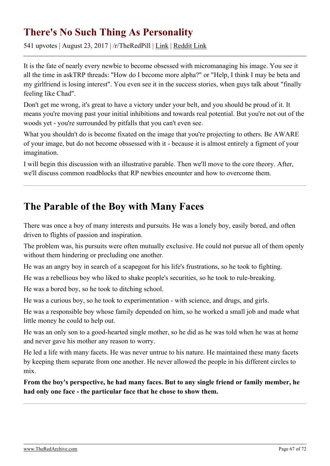## **There's No Such Thing As Personality**

541 upvotes | August 23, 2017 | /r/TheRedPill | [Link](https://theredarchive.com/r/TheRedPill/theres-no-such-thing-as-personality.45526) | [Reddit Link](https://old.reddit.com/r/TheRedPill/comments/6vl1qw/theres_no_such_thing_as_personality/)

It is the fate of nearly every newbie to become obsessed with micromanaging his image. You see it all the time in askTRP threads: "How do I become more alpha?" or "Help, I think I may be beta and my girlfriend is losing interest". You even see it in the success stories, when guys talk about "finally feeling like Chad".

Don't get me wrong, it's great to have a victory under your belt, and you should be proud of it. It means you're moving past your initial inhibitions and towards real potential. But you're not out of the woods yet - you're surrounded by pitfalls that you can't even see.

What you shouldn't do is become fixated on the image that you're projecting to others. Be AWARE of your image, but do not become obssessed with it - because it is almost entirely a figment of your imagination.

I will begin this discussion with an illustrative parable. Then we'll move to the core theory. After, we'll discuss common roadblocks that RP newbies encounter and how to overcome them.

## **The Parable of the Boy with Many Faces**

There was once a boy of many interests and pursuits. He was a lonely boy, easily bored, and often driven to flights of passion and inspiration.

The problem was, his pursuits were often mutually exclusive. He could not pursue all of them openly without them hindering or precluding one another.

He was an angry boy in search of a scapegoat for his life's frustrations, so he took to fighting.

He was a rebellious boy who liked to shake people's securities, so he took to rule-breaking.

He was a bored boy, so he took to ditching school.

He was a curious boy, so he took to experimentation - with science, and drugs, and girls.

He was a responsible boy whose family depended on him, so he worked a small job and made what little money he could to help out.

He was an only son to a good-hearted single mother, so he did as he was told when he was at home and never gave his mother any reason to worry.

He led a life with many facets. He was never untrue to his nature. He maintained these many facets by keeping them separate from one another. He never allowed the people in his different circles to mix.

**From the boy's perspective, he had many faces. But to any single friend or family member, he had only one face - the particular face that he chose to show them.**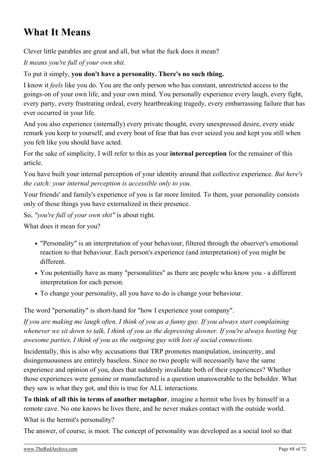# **What It Means**

Clever little parables are great and all, but what the fuck does it mean?

*It means you're full of your own shit.*

#### To put it simply, **you don't have a personality. There's no such thing.**

I know it *feels* like you do. You are the only person who has constant, unrestricted access to the goings-on of your own life, and your own mind. You personally experience every laugh, every fight, every party, every frustrating ordeal, every heartbreaking tragedy, every embarrassing failure that has ever occurred in your life.

And you also experience (internally) every private thought, every unexpressed desire, every snide remark you keep to yourself, and every bout of fear that has ever seized you and kept you still when you felt like you should have acted.

For the sake of simplicity, I will refer to this as your **internal perception** for the remainer of this article.

You have built your internal perception of your identity around that collective experience. *But here's the catch: your internal perception is accessible only to you.*

Your friends' and family's experience of you is far more limited. To them, your personality consists only of those things you have externalized in their presence.

So, *"you're full of your own shit"* is about right.

What does it mean for you?

- "Personality" is an interpretation of your behaviour, filtered through the observer's emotional reaction to that behaviour. Each person's experience (and interpretation) of you might be different.
- You potentially have as many "personalities" as there are people who know you a different interpretation for each person.
- To change your personality, all you have to do is change your behaviour.

The word "personality" is short-hand for "how I experience your company".

*If you are making me laugh often, I think of you as a funny guy. If you always start complaining whenever we sit down to talk, I think of you as the depressing downer. If you're always hosting big awesome parties, I think of you as the outgoing guy with lots of social connections.*

Incidentally, this is also why accusations that TRP promotes manipulation, insincerity, and disingenuousness are entirely baseless. Since no two people will necessarily have the same experience and opinion of you, does that suddenly invalidate both of their experiences? Whether those experiences were genuine or manufactured is a question unanswerable to the beholder. What they saw is what they got, and this is true for ALL interactions.

**To think of all this in terms of another metaphor**, imagine a hermit who lives by himself in a remote cave. No one knows he lives there, and he never makes contact with the outside world.

What is the hermit's personality?

The answer, of course, is moot. The concept of personality was developed as a social tool so that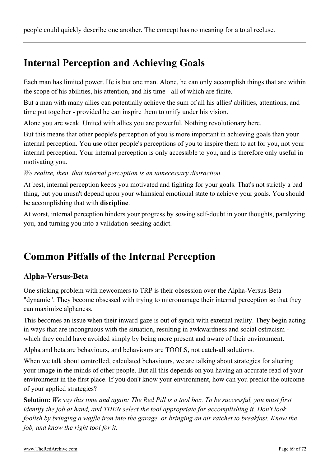people could quickly describe one another. The concept has no meaning for a total recluse.

## **Internal Perception and Achieving Goals**

Each man has limited power. He is but one man. Alone, he can only accomplish things that are within the scope of his abilities, his attention, and his time - all of which are finite.

But a man with many allies can potentially achieve the sum of all his allies' abilities, attentions, and time put together - provided he can inspire them to unify under his vision.

Alone you are weak. United with allies you are powerful. Nothing revolutionary here.

But this means that other people's perception of you is more important in achieving goals than your internal perception. You use other people's perceptions of you to inspire them to act for you, not your internal perception. Your internal perception is only accessible to you, and is therefore only useful in motivating you.

*We realize, then, that internal perception is an unnecessary distraction.*

At best, internal perception keeps you motivated and fighting for your goals. That's not strictly a bad thing, but you musn't depend upon your whimsical emotional state to achieve your goals. You should be accomplishing that with **discipline**.

At worst, internal perception hinders your progress by sowing self-doubt in your thoughts, paralyzing you, and turning you into a validation-seeking addict.

### **Common Pitfalls of the Internal Perception**

### **Alpha-Versus-Beta**

One sticking problem with newcomers to TRP is their obsession over the Alpha-Versus-Beta "dynamic". They become obsessed with trying to micromanage their internal perception so that they can maximize alphaness.

This becomes an issue when their inward gaze is out of synch with external reality. They begin acting in ways that are incongruous with the situation, resulting in awkwardness and social ostracism which they could have avoided simply by being more present and aware of their environment.

Alpha and beta are behaviours, and behaviours are TOOLS, not catch-all solutions.

When we talk about controlled, calculated behaviours, we are talking about strategies for altering your image in the minds of other people. But all this depends on you having an accurate read of your environment in the first place. If you don't know your environment, how can you predict the outcome of your applied strategies?

**Solution:** *We say this time and again: The Red Pill is a tool box. To be successful, you must first identify the job at hand, and THEN select the tool appropriate for accomplishing it. Don't look foolish by bringing a waffle iron into the garage, or bringing an air ratchet to breakfast. Know the job, and know the right tool for it.*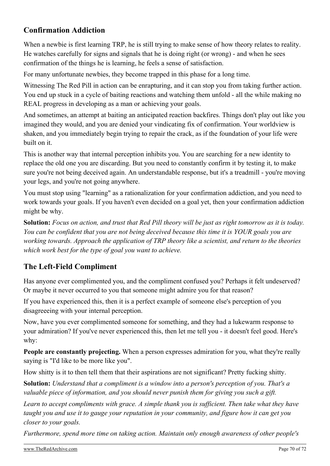### **Confirmation Addiction**

When a newbie is first learning TRP, he is still trying to make sense of how theory relates to reality. He watches carefully for signs and signals that he is doing right (or wrong) - and when he sees confirmation of the things he is learning, he feels a sense of satisfaction.

For many unfortunate newbies, they become trapped in this phase for a long time.

Witnessing The Red Pill in action can be enrapturing, and it can stop you from taking further action. You end up stuck in a cycle of baiting reactions and watching them unfold - all the while making no REAL progress in developing as a man or achieving your goals.

And sometimes, an attempt at baiting an anticipated reaction backfires. Things don't play out like you imagined they would, and you are denied your vindicating fix of confirmation. Your worldview is shaken, and you immediately begin trying to repair the crack, as if the foundation of your life were built on it.

This is another way that internal perception inhibits you. You are searching for a new identity to replace the old one you are discarding. But you need to constantly confirm it by testing it, to make sure you're not being deceived again. An understandable response, but it's a treadmill - you're moving your legs, and you're not going anywhere.

You must stop using "learning" as a rationalization for your confirmation addiction, and you need to work towards your goals. If you haven't even decided on a goal yet, then your confirmation addiction might be why.

**Solution:** *Focus on action, and trust that Red Pill theory will be just as right tomorrow as it is today. You can be confident that you are not being deceived because this time it is YOUR goals you are working towards. Approach the application of TRP theory like a scientist, and return to the theories which work best for the type of goal you want to achieve.*

### **The Left-Field Compliment**

Has anyone ever complimented you, and the compliment confused you? Perhaps it felt undeserved? Or maybe it never occurred to you that someone might admire you for that reason?

If you have experienced this, then it is a perfect example of someone else's perception of you disagreeeing with your internal perception.

Now, have you ever complimented someone for something, and they had a lukewarm response to your admiration? If you've never experienced this, then let me tell you - it doesn't feel good. Here's why:

**People are constantly projecting.** When a person expresses admiration for you, what they're really saying is "I'd like to be more like you".

How shitty is it to then tell them that their aspirations are not significant? Pretty fucking shitty.

**Solution:** *Understand that a compliment is a window into a person's perception of you. That's a valuable piece of information, and you should never punish them for giving you such a gift.*

*Learn to accept compliments with grace. A simple thank you is sufficient. Then take what they have taught you and use it to gauge your reputation in your community, and figure how it can get you closer to your goals.*

*Furthermore, spend more time on taking action. Maintain only enough awareness of other people's*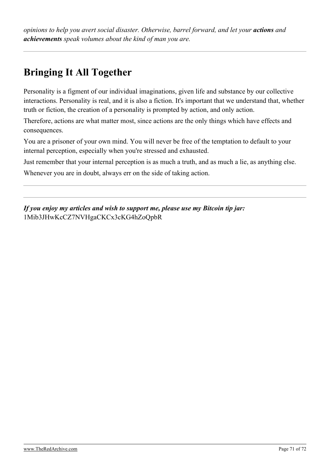*opinions to help you avert social disaster. Otherwise, barrel forward, and let your actions and achievements speak volumes about the kind of man you are.*

# **Bringing It All Together**

Personality is a figment of our individual imaginations, given life and substance by our collective interactions. Personality is real, and it is also a fiction. It's important that we understand that, whether truth or fiction, the creation of a personality is prompted by action, and only action.

Therefore, actions are what matter most, since actions are the only things which have effects and consequences.

You are a prisoner of your own mind. You will never be free of the temptation to default to your internal perception, especially when you're stressed and exhausted.

Just remember that your internal perception is as much a truth, and as much a lie, as anything else.

Whenever you are in doubt, always err on the side of taking action.

*If you enjoy my articles and wish to support me, please use my Bitcoin tip jar:* 1Mib3JHwKcCZ7NVHgaCKCx3cKG4hZoQpbR